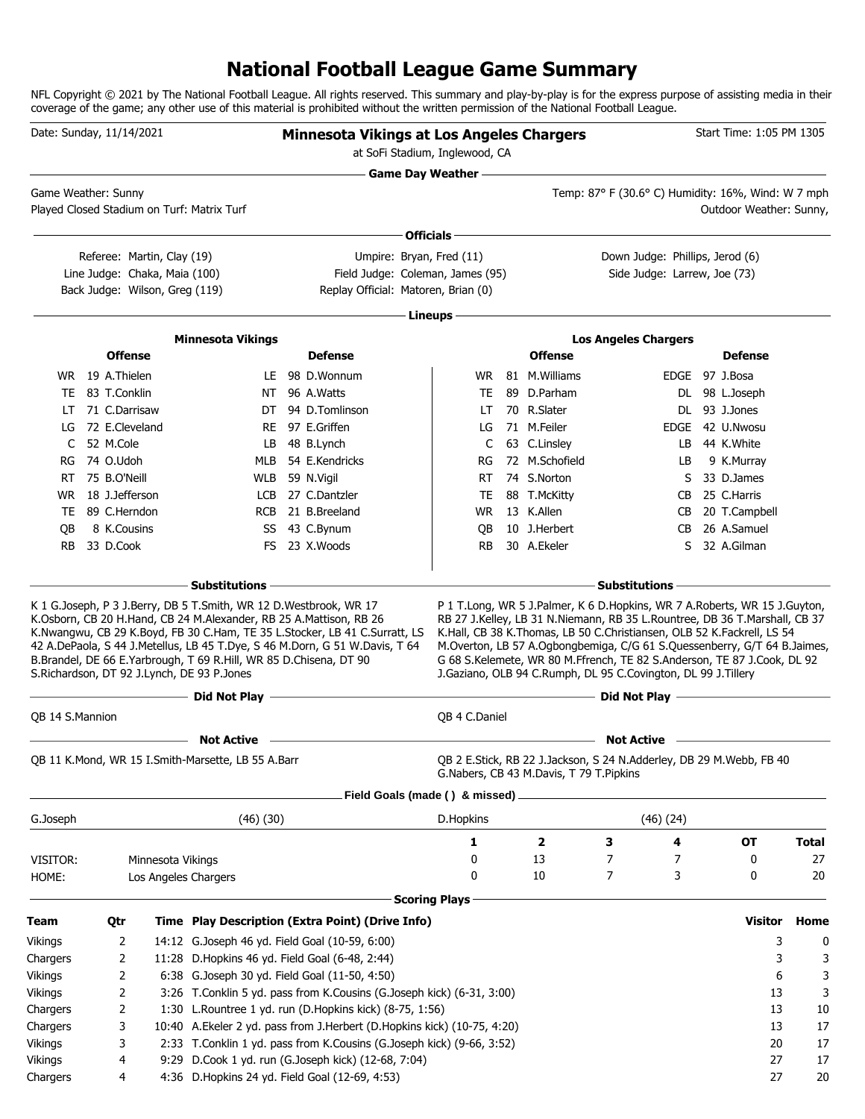# **National Football League Game Summary**

NFL Copyright © 2021 by The National Football League. All rights reserved. This summary and play-by-play is for the express purpose of assisting media in their coverage of the game; any other use of this material is prohibited without the written permission of the National Football League.

| <b>Game Day Weather -</b><br>Temp: 87° F (30.6° C) Humidity: 16%, Wind: W 7 mph<br>Game Weather: Sunny<br>Played Closed Stadium on Turf: Matrix Turf<br>Outdoor Weather: Sunny,<br>Officials -<br>Umpire: Bryan, Fred (11)<br>Down Judge: Phillips, Jerod (6)<br>Referee: Martin, Clay (19)<br>Line Judge: Chaka, Maia (100)<br>Field Judge: Coleman, James (95)<br>Side Judge: Larrew, Joe (73)<br>Back Judge: Wilson, Greg (119)<br>Replay Official: Matoren, Brian (0)<br>Lineups -<br><b>Minnesota Vikings</b><br><b>Los Angeles Chargers</b><br><b>Offense</b><br><b>Defense</b><br><b>Offense</b><br><b>Defense</b><br>WR 19 A.Thielen<br>LE 98 D.Wonnum<br>81 M. Williams<br>EDGE 97 J.Bosa<br>WR.<br>83 T.Conklin<br>89 D.Parham<br>NT 96 A.Watts<br>TE<br>DL 98 L.Joseph<br>TE<br>71 C.Darrisaw<br>94 D.Tomlinson<br>70 R.Slater<br>DL 93 J.Jones<br>DT<br>LT<br>LT<br>72 E.Cleveland<br>97 E.Griffen<br>71 M.Feiler<br>EDGE 42 U.Nwosu<br>RE<br>LG<br>LG<br>52 M.Cole<br>48 B.Lynch<br>63 C.Linsley<br>44 K.White<br>C<br>LB<br>C<br>LB.<br>74 O.Udoh<br>54 E.Kendricks<br>72 M.Schofield<br>9 K.Murray<br>MLB<br>RG<br>LB<br>RG<br>75 B.O'Neill<br>WLB 59 N.Vigil<br>74 S.Norton<br>33 D.James<br>RT.<br>RT<br>S<br>18 J.Jefferson<br>LCB 27 C.Dantzler<br>88 T.McKitty<br>25 C.Harris<br>TE<br>CB<br>WR.<br>89 C.Herndon<br>21 B.Breeland<br><b>WR</b><br>13 K.Allen<br>20 T.Campbell<br><b>RCB</b><br>TE<br>CB.<br>8 K.Cousins<br>10 J.Herbert<br>26 A.Samuel<br>SS 43 C.Bynum<br>QB<br>CB<br>QB<br>33 D.Cook<br>FS 23 X.Woods<br>30 A.Ekeler<br>32 A.Gilman<br><b>RB</b><br>RB.<br>S<br>- Substitutions<br>- Substitutions<br>K 1 G. Joseph, P 3 J. Berry, DB 5 T. Smith, WR 12 D. Westbrook, WR 17<br>P 1 T.Long, WR 5 J.Palmer, K 6 D.Hopkins, WR 7 A.Roberts, WR 15 J.Guyton,<br>K.Osborn, CB 20 H.Hand, CB 24 M.Alexander, RB 25 A.Mattison, RB 26<br>RB 27 J.Kelley, LB 31 N.Niemann, RB 35 L.Rountree, DB 36 T.Marshall, CB 37<br>K.Nwangwu, CB 29 K.Boyd, FB 30 C.Ham, TE 35 L.Stocker, LB 41 C.Surratt, LS<br>K.Hall, CB 38 K.Thomas, LB 50 C.Christiansen, OLB 52 K.Fackrell, LS 54<br>42 A.DePaola, S 44 J.Metellus, LB 45 T.Dye, S 46 M.Dorn, G 51 W.Davis, T 64<br>M.Overton, LB 57 A.Ogbongbemiga, C/G 61 S.Quessenberry, G/T 64 B.Jaimes,<br>B.Brandel, DE 66 E.Yarbrough, T 69 R.Hill, WR 85 D.Chisena, DT 90<br>G 68 S.Kelemete, WR 80 M.Ffrench, TE 82 S.Anderson, TE 87 J.Cook, DL 92<br>S.Richardson, DT 92 J.Lynch, DE 93 P.Jones<br>J.Gaziano, OLB 94 C.Rumph, DL 95 C.Covington, DL 99 J.Tillery<br>- Did Not Play -<br>Did Not Play -<br><b>OB 14 S.Mannion</b><br>QB 4 C.Daniel<br><b>Not Active</b><br><b>Not Active</b><br>QB 2 E.Stick, RB 22 J.Jackson, S 24 N.Adderley, DB 29 M.Webb, FB 40<br>QB 11 K.Mond, WR 15 I.Smith-Marsette, LB 55 A.Barr<br>G.Nabers, CB 43 M.Davis, T 79 T.Pipkins<br>Field Goals (made () & missed) .<br>G.Joseph<br>(46)(30)<br>(46)(24)<br>D.Hopkins<br>1<br>$\overline{\mathbf{2}}$<br>3<br>4<br><b>OT</b><br>13<br>7<br>7<br>0<br>0<br>VISITOR:<br>Minnesota Vikings<br>10<br>7<br>3<br>0<br>0<br>HOME:<br>Los Angeles Chargers<br><b>Scoring Plays</b><br><b>Visitor</b><br>Qtr<br>Time Play Description (Extra Point) (Drive Info)<br>14:12 G.Joseph 46 yd. Field Goal (10-59, 6:00)<br>3<br>2<br>11:28 D.Hopkins 46 yd. Field Goal (6-48, 2:44)<br>2<br>3<br>6:38 G.Joseph 30 yd. Field Goal (11-50, 4:50)<br>2<br>6<br>3:26 T.Conklin 5 yd. pass from K.Cousins (G.Joseph kick) (6-31, 3:00)<br>2<br>13<br>1:30 L.Rountree 1 yd. run (D.Hopkins kick) (8-75, 1:56)<br>2<br>13<br>10:40 A.Ekeler 2 yd. pass from J.Herbert (D.Hopkins kick) (10-75, 4:20)<br>3<br>13<br>2:33 T.Conklin 1 yd. pass from K.Cousins (G.Joseph kick) (9-66, 3:52)<br>20<br>3 | Date: Sunday, 11/14/2021 |  |  | <b>Minnesota Vikings at Los Angeles Chargers</b><br>at SoFi Stadium, Inglewood, CA |  |  |  | Start Time: 1:05 PM 1305 |              |
|---------------------------------------------------------------------------------------------------------------------------------------------------------------------------------------------------------------------------------------------------------------------------------------------------------------------------------------------------------------------------------------------------------------------------------------------------------------------------------------------------------------------------------------------------------------------------------------------------------------------------------------------------------------------------------------------------------------------------------------------------------------------------------------------------------------------------------------------------------------------------------------------------------------------------------------------------------------------------------------------------------------------------------------------------------------------------------------------------------------------------------------------------------------------------------------------------------------------------------------------------------------------------------------------------------------------------------------------------------------------------------------------------------------------------------------------------------------------------------------------------------------------------------------------------------------------------------------------------------------------------------------------------------------------------------------------------------------------------------------------------------------------------------------------------------------------------------------------------------------------------------------------------------------------------------------------------------------------------------------------------------------------------------------------------------------------------------------------------------------------------------------------------------------------------------------------------------------------------------------------------------------------------------------------------------------------------------------------------------------------------------------------------------------------------------------------------------------------------------------------------------------------------------------------------------------------------------------------------------------------------------------------------------------------------------------------------------------------------------------------------------------------------------------------------------------------------------------------------------------------------------------------------------------------------------------------------------------------------------------------------------------------------------------------------------------------------------------------------------------------------------------------------------------------------------------------------------------------------------------------------------------------------------------------------------------------------------------------------------------------------------------------------------------------------------------------------------------------------------------------------------------------------------------------------------------------------------------------------------------------------------------------------------------------------------------------------------------------------------------|--------------------------|--|--|------------------------------------------------------------------------------------|--|--|--|--------------------------|--------------|
|                                                                                                                                                                                                                                                                                                                                                                                                                                                                                                                                                                                                                                                                                                                                                                                                                                                                                                                                                                                                                                                                                                                                                                                                                                                                                                                                                                                                                                                                                                                                                                                                                                                                                                                                                                                                                                                                                                                                                                                                                                                                                                                                                                                                                                                                                                                                                                                                                                                                                                                                                                                                                                                                                                                                                                                                                                                                                                                                                                                                                                                                                                                                                                                                                                                                                                                                                                                                                                                                                                                                                                                                                                                                                                                                       |                          |  |  |                                                                                    |  |  |  |                          |              |
|                                                                                                                                                                                                                                                                                                                                                                                                                                                                                                                                                                                                                                                                                                                                                                                                                                                                                                                                                                                                                                                                                                                                                                                                                                                                                                                                                                                                                                                                                                                                                                                                                                                                                                                                                                                                                                                                                                                                                                                                                                                                                                                                                                                                                                                                                                                                                                                                                                                                                                                                                                                                                                                                                                                                                                                                                                                                                                                                                                                                                                                                                                                                                                                                                                                                                                                                                                                                                                                                                                                                                                                                                                                                                                                                       |                          |  |  |                                                                                    |  |  |  |                          |              |
|                                                                                                                                                                                                                                                                                                                                                                                                                                                                                                                                                                                                                                                                                                                                                                                                                                                                                                                                                                                                                                                                                                                                                                                                                                                                                                                                                                                                                                                                                                                                                                                                                                                                                                                                                                                                                                                                                                                                                                                                                                                                                                                                                                                                                                                                                                                                                                                                                                                                                                                                                                                                                                                                                                                                                                                                                                                                                                                                                                                                                                                                                                                                                                                                                                                                                                                                                                                                                                                                                                                                                                                                                                                                                                                                       |                          |  |  |                                                                                    |  |  |  |                          |              |
|                                                                                                                                                                                                                                                                                                                                                                                                                                                                                                                                                                                                                                                                                                                                                                                                                                                                                                                                                                                                                                                                                                                                                                                                                                                                                                                                                                                                                                                                                                                                                                                                                                                                                                                                                                                                                                                                                                                                                                                                                                                                                                                                                                                                                                                                                                                                                                                                                                                                                                                                                                                                                                                                                                                                                                                                                                                                                                                                                                                                                                                                                                                                                                                                                                                                                                                                                                                                                                                                                                                                                                                                                                                                                                                                       |                          |  |  |                                                                                    |  |  |  |                          |              |
|                                                                                                                                                                                                                                                                                                                                                                                                                                                                                                                                                                                                                                                                                                                                                                                                                                                                                                                                                                                                                                                                                                                                                                                                                                                                                                                                                                                                                                                                                                                                                                                                                                                                                                                                                                                                                                                                                                                                                                                                                                                                                                                                                                                                                                                                                                                                                                                                                                                                                                                                                                                                                                                                                                                                                                                                                                                                                                                                                                                                                                                                                                                                                                                                                                                                                                                                                                                                                                                                                                                                                                                                                                                                                                                                       |                          |  |  |                                                                                    |  |  |  |                          |              |
|                                                                                                                                                                                                                                                                                                                                                                                                                                                                                                                                                                                                                                                                                                                                                                                                                                                                                                                                                                                                                                                                                                                                                                                                                                                                                                                                                                                                                                                                                                                                                                                                                                                                                                                                                                                                                                                                                                                                                                                                                                                                                                                                                                                                                                                                                                                                                                                                                                                                                                                                                                                                                                                                                                                                                                                                                                                                                                                                                                                                                                                                                                                                                                                                                                                                                                                                                                                                                                                                                                                                                                                                                                                                                                                                       |                          |  |  |                                                                                    |  |  |  |                          |              |
|                                                                                                                                                                                                                                                                                                                                                                                                                                                                                                                                                                                                                                                                                                                                                                                                                                                                                                                                                                                                                                                                                                                                                                                                                                                                                                                                                                                                                                                                                                                                                                                                                                                                                                                                                                                                                                                                                                                                                                                                                                                                                                                                                                                                                                                                                                                                                                                                                                                                                                                                                                                                                                                                                                                                                                                                                                                                                                                                                                                                                                                                                                                                                                                                                                                                                                                                                                                                                                                                                                                                                                                                                                                                                                                                       |                          |  |  |                                                                                    |  |  |  |                          |              |
|                                                                                                                                                                                                                                                                                                                                                                                                                                                                                                                                                                                                                                                                                                                                                                                                                                                                                                                                                                                                                                                                                                                                                                                                                                                                                                                                                                                                                                                                                                                                                                                                                                                                                                                                                                                                                                                                                                                                                                                                                                                                                                                                                                                                                                                                                                                                                                                                                                                                                                                                                                                                                                                                                                                                                                                                                                                                                                                                                                                                                                                                                                                                                                                                                                                                                                                                                                                                                                                                                                                                                                                                                                                                                                                                       |                          |  |  |                                                                                    |  |  |  |                          |              |
|                                                                                                                                                                                                                                                                                                                                                                                                                                                                                                                                                                                                                                                                                                                                                                                                                                                                                                                                                                                                                                                                                                                                                                                                                                                                                                                                                                                                                                                                                                                                                                                                                                                                                                                                                                                                                                                                                                                                                                                                                                                                                                                                                                                                                                                                                                                                                                                                                                                                                                                                                                                                                                                                                                                                                                                                                                                                                                                                                                                                                                                                                                                                                                                                                                                                                                                                                                                                                                                                                                                                                                                                                                                                                                                                       |                          |  |  |                                                                                    |  |  |  |                          |              |
|                                                                                                                                                                                                                                                                                                                                                                                                                                                                                                                                                                                                                                                                                                                                                                                                                                                                                                                                                                                                                                                                                                                                                                                                                                                                                                                                                                                                                                                                                                                                                                                                                                                                                                                                                                                                                                                                                                                                                                                                                                                                                                                                                                                                                                                                                                                                                                                                                                                                                                                                                                                                                                                                                                                                                                                                                                                                                                                                                                                                                                                                                                                                                                                                                                                                                                                                                                                                                                                                                                                                                                                                                                                                                                                                       |                          |  |  |                                                                                    |  |  |  |                          |              |
|                                                                                                                                                                                                                                                                                                                                                                                                                                                                                                                                                                                                                                                                                                                                                                                                                                                                                                                                                                                                                                                                                                                                                                                                                                                                                                                                                                                                                                                                                                                                                                                                                                                                                                                                                                                                                                                                                                                                                                                                                                                                                                                                                                                                                                                                                                                                                                                                                                                                                                                                                                                                                                                                                                                                                                                                                                                                                                                                                                                                                                                                                                                                                                                                                                                                                                                                                                                                                                                                                                                                                                                                                                                                                                                                       |                          |  |  |                                                                                    |  |  |  |                          |              |
|                                                                                                                                                                                                                                                                                                                                                                                                                                                                                                                                                                                                                                                                                                                                                                                                                                                                                                                                                                                                                                                                                                                                                                                                                                                                                                                                                                                                                                                                                                                                                                                                                                                                                                                                                                                                                                                                                                                                                                                                                                                                                                                                                                                                                                                                                                                                                                                                                                                                                                                                                                                                                                                                                                                                                                                                                                                                                                                                                                                                                                                                                                                                                                                                                                                                                                                                                                                                                                                                                                                                                                                                                                                                                                                                       |                          |  |  |                                                                                    |  |  |  |                          |              |
|                                                                                                                                                                                                                                                                                                                                                                                                                                                                                                                                                                                                                                                                                                                                                                                                                                                                                                                                                                                                                                                                                                                                                                                                                                                                                                                                                                                                                                                                                                                                                                                                                                                                                                                                                                                                                                                                                                                                                                                                                                                                                                                                                                                                                                                                                                                                                                                                                                                                                                                                                                                                                                                                                                                                                                                                                                                                                                                                                                                                                                                                                                                                                                                                                                                                                                                                                                                                                                                                                                                                                                                                                                                                                                                                       |                          |  |  |                                                                                    |  |  |  |                          |              |
|                                                                                                                                                                                                                                                                                                                                                                                                                                                                                                                                                                                                                                                                                                                                                                                                                                                                                                                                                                                                                                                                                                                                                                                                                                                                                                                                                                                                                                                                                                                                                                                                                                                                                                                                                                                                                                                                                                                                                                                                                                                                                                                                                                                                                                                                                                                                                                                                                                                                                                                                                                                                                                                                                                                                                                                                                                                                                                                                                                                                                                                                                                                                                                                                                                                                                                                                                                                                                                                                                                                                                                                                                                                                                                                                       |                          |  |  |                                                                                    |  |  |  |                          |              |
|                                                                                                                                                                                                                                                                                                                                                                                                                                                                                                                                                                                                                                                                                                                                                                                                                                                                                                                                                                                                                                                                                                                                                                                                                                                                                                                                                                                                                                                                                                                                                                                                                                                                                                                                                                                                                                                                                                                                                                                                                                                                                                                                                                                                                                                                                                                                                                                                                                                                                                                                                                                                                                                                                                                                                                                                                                                                                                                                                                                                                                                                                                                                                                                                                                                                                                                                                                                                                                                                                                                                                                                                                                                                                                                                       |                          |  |  |                                                                                    |  |  |  |                          |              |
|                                                                                                                                                                                                                                                                                                                                                                                                                                                                                                                                                                                                                                                                                                                                                                                                                                                                                                                                                                                                                                                                                                                                                                                                                                                                                                                                                                                                                                                                                                                                                                                                                                                                                                                                                                                                                                                                                                                                                                                                                                                                                                                                                                                                                                                                                                                                                                                                                                                                                                                                                                                                                                                                                                                                                                                                                                                                                                                                                                                                                                                                                                                                                                                                                                                                                                                                                                                                                                                                                                                                                                                                                                                                                                                                       |                          |  |  |                                                                                    |  |  |  |                          |              |
|                                                                                                                                                                                                                                                                                                                                                                                                                                                                                                                                                                                                                                                                                                                                                                                                                                                                                                                                                                                                                                                                                                                                                                                                                                                                                                                                                                                                                                                                                                                                                                                                                                                                                                                                                                                                                                                                                                                                                                                                                                                                                                                                                                                                                                                                                                                                                                                                                                                                                                                                                                                                                                                                                                                                                                                                                                                                                                                                                                                                                                                                                                                                                                                                                                                                                                                                                                                                                                                                                                                                                                                                                                                                                                                                       |                          |  |  |                                                                                    |  |  |  |                          |              |
|                                                                                                                                                                                                                                                                                                                                                                                                                                                                                                                                                                                                                                                                                                                                                                                                                                                                                                                                                                                                                                                                                                                                                                                                                                                                                                                                                                                                                                                                                                                                                                                                                                                                                                                                                                                                                                                                                                                                                                                                                                                                                                                                                                                                                                                                                                                                                                                                                                                                                                                                                                                                                                                                                                                                                                                                                                                                                                                                                                                                                                                                                                                                                                                                                                                                                                                                                                                                                                                                                                                                                                                                                                                                                                                                       |                          |  |  |                                                                                    |  |  |  |                          |              |
|                                                                                                                                                                                                                                                                                                                                                                                                                                                                                                                                                                                                                                                                                                                                                                                                                                                                                                                                                                                                                                                                                                                                                                                                                                                                                                                                                                                                                                                                                                                                                                                                                                                                                                                                                                                                                                                                                                                                                                                                                                                                                                                                                                                                                                                                                                                                                                                                                                                                                                                                                                                                                                                                                                                                                                                                                                                                                                                                                                                                                                                                                                                                                                                                                                                                                                                                                                                                                                                                                                                                                                                                                                                                                                                                       |                          |  |  |                                                                                    |  |  |  |                          |              |
|                                                                                                                                                                                                                                                                                                                                                                                                                                                                                                                                                                                                                                                                                                                                                                                                                                                                                                                                                                                                                                                                                                                                                                                                                                                                                                                                                                                                                                                                                                                                                                                                                                                                                                                                                                                                                                                                                                                                                                                                                                                                                                                                                                                                                                                                                                                                                                                                                                                                                                                                                                                                                                                                                                                                                                                                                                                                                                                                                                                                                                                                                                                                                                                                                                                                                                                                                                                                                                                                                                                                                                                                                                                                                                                                       |                          |  |  |                                                                                    |  |  |  |                          |              |
|                                                                                                                                                                                                                                                                                                                                                                                                                                                                                                                                                                                                                                                                                                                                                                                                                                                                                                                                                                                                                                                                                                                                                                                                                                                                                                                                                                                                                                                                                                                                                                                                                                                                                                                                                                                                                                                                                                                                                                                                                                                                                                                                                                                                                                                                                                                                                                                                                                                                                                                                                                                                                                                                                                                                                                                                                                                                                                                                                                                                                                                                                                                                                                                                                                                                                                                                                                                                                                                                                                                                                                                                                                                                                                                                       |                          |  |  |                                                                                    |  |  |  |                          |              |
| Team<br>Vikings<br>Chargers<br>Vikings<br>Vikings<br>Chargers<br>Chargers<br>Vikings                                                                                                                                                                                                                                                                                                                                                                                                                                                                                                                                                                                                                                                                                                                                                                                                                                                                                                                                                                                                                                                                                                                                                                                                                                                                                                                                                                                                                                                                                                                                                                                                                                                                                                                                                                                                                                                                                                                                                                                                                                                                                                                                                                                                                                                                                                                                                                                                                                                                                                                                                                                                                                                                                                                                                                                                                                                                                                                                                                                                                                                                                                                                                                                                                                                                                                                                                                                                                                                                                                                                                                                                                                                  |                          |  |  |                                                                                    |  |  |  |                          |              |
|                                                                                                                                                                                                                                                                                                                                                                                                                                                                                                                                                                                                                                                                                                                                                                                                                                                                                                                                                                                                                                                                                                                                                                                                                                                                                                                                                                                                                                                                                                                                                                                                                                                                                                                                                                                                                                                                                                                                                                                                                                                                                                                                                                                                                                                                                                                                                                                                                                                                                                                                                                                                                                                                                                                                                                                                                                                                                                                                                                                                                                                                                                                                                                                                                                                                                                                                                                                                                                                                                                                                                                                                                                                                                                                                       |                          |  |  |                                                                                    |  |  |  |                          |              |
|                                                                                                                                                                                                                                                                                                                                                                                                                                                                                                                                                                                                                                                                                                                                                                                                                                                                                                                                                                                                                                                                                                                                                                                                                                                                                                                                                                                                                                                                                                                                                                                                                                                                                                                                                                                                                                                                                                                                                                                                                                                                                                                                                                                                                                                                                                                                                                                                                                                                                                                                                                                                                                                                                                                                                                                                                                                                                                                                                                                                                                                                                                                                                                                                                                                                                                                                                                                                                                                                                                                                                                                                                                                                                                                                       |                          |  |  |                                                                                    |  |  |  |                          |              |
|                                                                                                                                                                                                                                                                                                                                                                                                                                                                                                                                                                                                                                                                                                                                                                                                                                                                                                                                                                                                                                                                                                                                                                                                                                                                                                                                                                                                                                                                                                                                                                                                                                                                                                                                                                                                                                                                                                                                                                                                                                                                                                                                                                                                                                                                                                                                                                                                                                                                                                                                                                                                                                                                                                                                                                                                                                                                                                                                                                                                                                                                                                                                                                                                                                                                                                                                                                                                                                                                                                                                                                                                                                                                                                                                       |                          |  |  |                                                                                    |  |  |  |                          |              |
|                                                                                                                                                                                                                                                                                                                                                                                                                                                                                                                                                                                                                                                                                                                                                                                                                                                                                                                                                                                                                                                                                                                                                                                                                                                                                                                                                                                                                                                                                                                                                                                                                                                                                                                                                                                                                                                                                                                                                                                                                                                                                                                                                                                                                                                                                                                                                                                                                                                                                                                                                                                                                                                                                                                                                                                                                                                                                                                                                                                                                                                                                                                                                                                                                                                                                                                                                                                                                                                                                                                                                                                                                                                                                                                                       |                          |  |  |                                                                                    |  |  |  |                          |              |
|                                                                                                                                                                                                                                                                                                                                                                                                                                                                                                                                                                                                                                                                                                                                                                                                                                                                                                                                                                                                                                                                                                                                                                                                                                                                                                                                                                                                                                                                                                                                                                                                                                                                                                                                                                                                                                                                                                                                                                                                                                                                                                                                                                                                                                                                                                                                                                                                                                                                                                                                                                                                                                                                                                                                                                                                                                                                                                                                                                                                                                                                                                                                                                                                                                                                                                                                                                                                                                                                                                                                                                                                                                                                                                                                       |                          |  |  |                                                                                    |  |  |  |                          |              |
|                                                                                                                                                                                                                                                                                                                                                                                                                                                                                                                                                                                                                                                                                                                                                                                                                                                                                                                                                                                                                                                                                                                                                                                                                                                                                                                                                                                                                                                                                                                                                                                                                                                                                                                                                                                                                                                                                                                                                                                                                                                                                                                                                                                                                                                                                                                                                                                                                                                                                                                                                                                                                                                                                                                                                                                                                                                                                                                                                                                                                                                                                                                                                                                                                                                                                                                                                                                                                                                                                                                                                                                                                                                                                                                                       |                          |  |  |                                                                                    |  |  |  |                          | <b>Total</b> |
|                                                                                                                                                                                                                                                                                                                                                                                                                                                                                                                                                                                                                                                                                                                                                                                                                                                                                                                                                                                                                                                                                                                                                                                                                                                                                                                                                                                                                                                                                                                                                                                                                                                                                                                                                                                                                                                                                                                                                                                                                                                                                                                                                                                                                                                                                                                                                                                                                                                                                                                                                                                                                                                                                                                                                                                                                                                                                                                                                                                                                                                                                                                                                                                                                                                                                                                                                                                                                                                                                                                                                                                                                                                                                                                                       |                          |  |  |                                                                                    |  |  |  |                          | 27           |
|                                                                                                                                                                                                                                                                                                                                                                                                                                                                                                                                                                                                                                                                                                                                                                                                                                                                                                                                                                                                                                                                                                                                                                                                                                                                                                                                                                                                                                                                                                                                                                                                                                                                                                                                                                                                                                                                                                                                                                                                                                                                                                                                                                                                                                                                                                                                                                                                                                                                                                                                                                                                                                                                                                                                                                                                                                                                                                                                                                                                                                                                                                                                                                                                                                                                                                                                                                                                                                                                                                                                                                                                                                                                                                                                       |                          |  |  |                                                                                    |  |  |  |                          | 20           |
|                                                                                                                                                                                                                                                                                                                                                                                                                                                                                                                                                                                                                                                                                                                                                                                                                                                                                                                                                                                                                                                                                                                                                                                                                                                                                                                                                                                                                                                                                                                                                                                                                                                                                                                                                                                                                                                                                                                                                                                                                                                                                                                                                                                                                                                                                                                                                                                                                                                                                                                                                                                                                                                                                                                                                                                                                                                                                                                                                                                                                                                                                                                                                                                                                                                                                                                                                                                                                                                                                                                                                                                                                                                                                                                                       |                          |  |  |                                                                                    |  |  |  |                          |              |
|                                                                                                                                                                                                                                                                                                                                                                                                                                                                                                                                                                                                                                                                                                                                                                                                                                                                                                                                                                                                                                                                                                                                                                                                                                                                                                                                                                                                                                                                                                                                                                                                                                                                                                                                                                                                                                                                                                                                                                                                                                                                                                                                                                                                                                                                                                                                                                                                                                                                                                                                                                                                                                                                                                                                                                                                                                                                                                                                                                                                                                                                                                                                                                                                                                                                                                                                                                                                                                                                                                                                                                                                                                                                                                                                       |                          |  |  |                                                                                    |  |  |  |                          | Home         |
|                                                                                                                                                                                                                                                                                                                                                                                                                                                                                                                                                                                                                                                                                                                                                                                                                                                                                                                                                                                                                                                                                                                                                                                                                                                                                                                                                                                                                                                                                                                                                                                                                                                                                                                                                                                                                                                                                                                                                                                                                                                                                                                                                                                                                                                                                                                                                                                                                                                                                                                                                                                                                                                                                                                                                                                                                                                                                                                                                                                                                                                                                                                                                                                                                                                                                                                                                                                                                                                                                                                                                                                                                                                                                                                                       |                          |  |  |                                                                                    |  |  |  |                          | 0            |
|                                                                                                                                                                                                                                                                                                                                                                                                                                                                                                                                                                                                                                                                                                                                                                                                                                                                                                                                                                                                                                                                                                                                                                                                                                                                                                                                                                                                                                                                                                                                                                                                                                                                                                                                                                                                                                                                                                                                                                                                                                                                                                                                                                                                                                                                                                                                                                                                                                                                                                                                                                                                                                                                                                                                                                                                                                                                                                                                                                                                                                                                                                                                                                                                                                                                                                                                                                                                                                                                                                                                                                                                                                                                                                                                       |                          |  |  |                                                                                    |  |  |  |                          | 3            |
|                                                                                                                                                                                                                                                                                                                                                                                                                                                                                                                                                                                                                                                                                                                                                                                                                                                                                                                                                                                                                                                                                                                                                                                                                                                                                                                                                                                                                                                                                                                                                                                                                                                                                                                                                                                                                                                                                                                                                                                                                                                                                                                                                                                                                                                                                                                                                                                                                                                                                                                                                                                                                                                                                                                                                                                                                                                                                                                                                                                                                                                                                                                                                                                                                                                                                                                                                                                                                                                                                                                                                                                                                                                                                                                                       |                          |  |  |                                                                                    |  |  |  |                          | 3            |
|                                                                                                                                                                                                                                                                                                                                                                                                                                                                                                                                                                                                                                                                                                                                                                                                                                                                                                                                                                                                                                                                                                                                                                                                                                                                                                                                                                                                                                                                                                                                                                                                                                                                                                                                                                                                                                                                                                                                                                                                                                                                                                                                                                                                                                                                                                                                                                                                                                                                                                                                                                                                                                                                                                                                                                                                                                                                                                                                                                                                                                                                                                                                                                                                                                                                                                                                                                                                                                                                                                                                                                                                                                                                                                                                       |                          |  |  |                                                                                    |  |  |  |                          | 3            |
|                                                                                                                                                                                                                                                                                                                                                                                                                                                                                                                                                                                                                                                                                                                                                                                                                                                                                                                                                                                                                                                                                                                                                                                                                                                                                                                                                                                                                                                                                                                                                                                                                                                                                                                                                                                                                                                                                                                                                                                                                                                                                                                                                                                                                                                                                                                                                                                                                                                                                                                                                                                                                                                                                                                                                                                                                                                                                                                                                                                                                                                                                                                                                                                                                                                                                                                                                                                                                                                                                                                                                                                                                                                                                                                                       |                          |  |  |                                                                                    |  |  |  |                          | 10           |
|                                                                                                                                                                                                                                                                                                                                                                                                                                                                                                                                                                                                                                                                                                                                                                                                                                                                                                                                                                                                                                                                                                                                                                                                                                                                                                                                                                                                                                                                                                                                                                                                                                                                                                                                                                                                                                                                                                                                                                                                                                                                                                                                                                                                                                                                                                                                                                                                                                                                                                                                                                                                                                                                                                                                                                                                                                                                                                                                                                                                                                                                                                                                                                                                                                                                                                                                                                                                                                                                                                                                                                                                                                                                                                                                       |                          |  |  |                                                                                    |  |  |  |                          | 17           |
|                                                                                                                                                                                                                                                                                                                                                                                                                                                                                                                                                                                                                                                                                                                                                                                                                                                                                                                                                                                                                                                                                                                                                                                                                                                                                                                                                                                                                                                                                                                                                                                                                                                                                                                                                                                                                                                                                                                                                                                                                                                                                                                                                                                                                                                                                                                                                                                                                                                                                                                                                                                                                                                                                                                                                                                                                                                                                                                                                                                                                                                                                                                                                                                                                                                                                                                                                                                                                                                                                                                                                                                                                                                                                                                                       |                          |  |  |                                                                                    |  |  |  |                          | 17           |
| 9:29 D.Cook 1 yd. run (G.Joseph kick) (12-68, 7:04)<br>27<br>Vikings<br>4                                                                                                                                                                                                                                                                                                                                                                                                                                                                                                                                                                                                                                                                                                                                                                                                                                                                                                                                                                                                                                                                                                                                                                                                                                                                                                                                                                                                                                                                                                                                                                                                                                                                                                                                                                                                                                                                                                                                                                                                                                                                                                                                                                                                                                                                                                                                                                                                                                                                                                                                                                                                                                                                                                                                                                                                                                                                                                                                                                                                                                                                                                                                                                                                                                                                                                                                                                                                                                                                                                                                                                                                                                                             |                          |  |  |                                                                                    |  |  |  |                          | 17           |
| 4:36 D.Hopkins 24 yd. Field Goal (12-69, 4:53)<br>27<br>Chargers<br>4                                                                                                                                                                                                                                                                                                                                                                                                                                                                                                                                                                                                                                                                                                                                                                                                                                                                                                                                                                                                                                                                                                                                                                                                                                                                                                                                                                                                                                                                                                                                                                                                                                                                                                                                                                                                                                                                                                                                                                                                                                                                                                                                                                                                                                                                                                                                                                                                                                                                                                                                                                                                                                                                                                                                                                                                                                                                                                                                                                                                                                                                                                                                                                                                                                                                                                                                                                                                                                                                                                                                                                                                                                                                 |                          |  |  |                                                                                    |  |  |  |                          | 20           |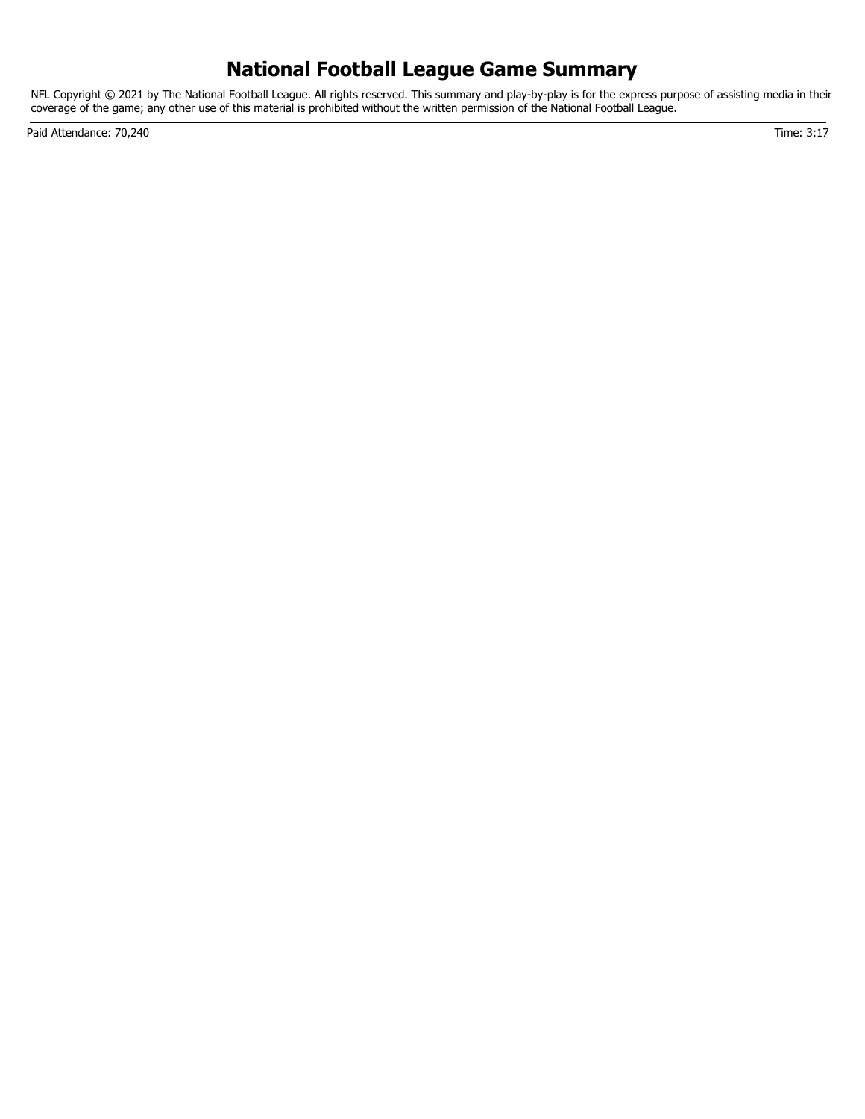# **National Football League Game Summary**

NFL Copyright © 2021 by The National Football League. All rights reserved. This summary and play-by-play is for the express purpose of assisting media in their coverage of the game; any other use of this material is prohibited without the written permission of the National Football League.

Paid Attendance: 70,240 Time: 3:17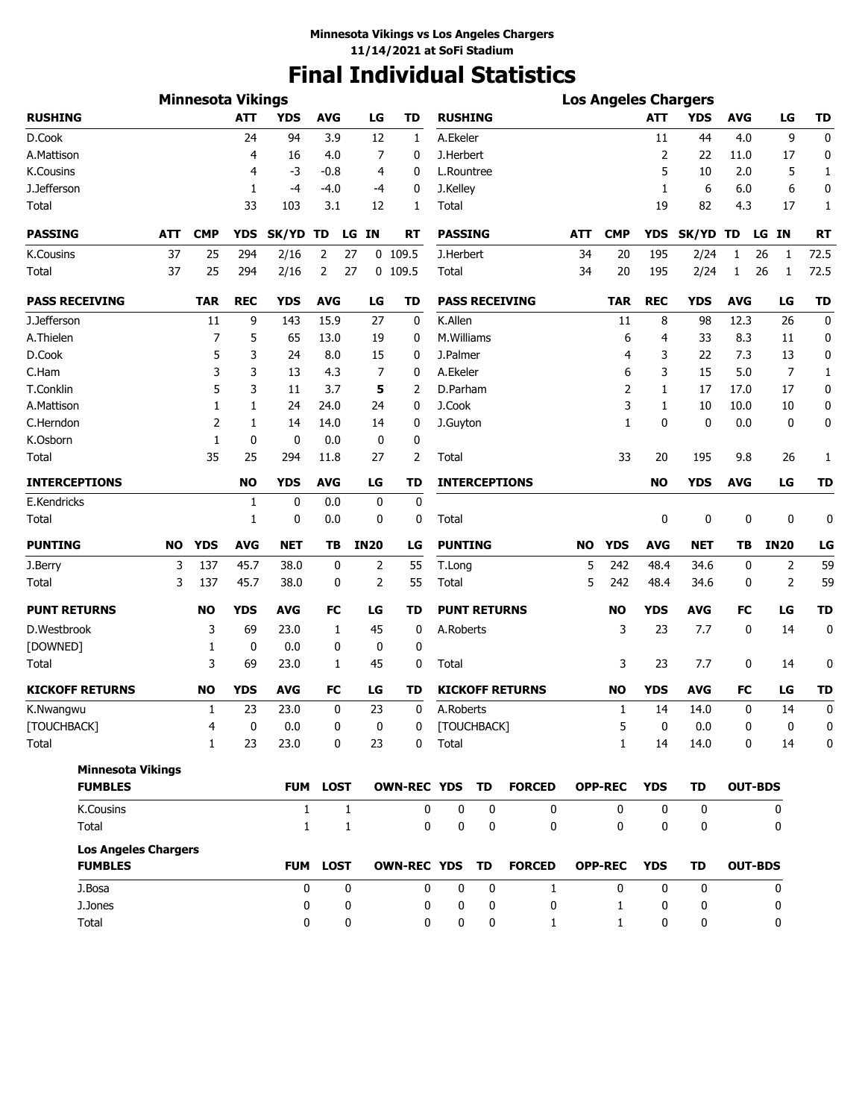# **Final Individual Statistics**

|                                               |            | <b>Minnesota Vikings</b> |            |              |                 |             |                |                     |   |                        |            |                |              | <b>Los Angeles Chargers</b> |                |                 |              |
|-----------------------------------------------|------------|--------------------------|------------|--------------|-----------------|-------------|----------------|---------------------|---|------------------------|------------|----------------|--------------|-----------------------------|----------------|-----------------|--------------|
| <b>RUSHING</b>                                |            |                          | <b>ATT</b> | <b>YDS</b>   | <b>AVG</b>      | LG          | <b>TD</b>      | <b>RUSHING</b>      |   |                        |            |                | <b>ATT</b>   | <b>YDS</b>                  | <b>AVG</b>     | LG              | TD           |
| D.Cook                                        |            |                          | 24         | 94           | 3.9             | 12          | 1              | A.Ekeler            |   |                        |            |                | 11           | 44                          | 4.0            | 9               | 0            |
| A.Mattison                                    |            |                          | 4          | 16           | 4.0             | 7           | 0              | J.Herbert           |   |                        |            |                | 2            | 22                          | 11.0           | 17              | 0            |
| <b>K.Cousins</b>                              |            |                          | 4          | -3           | $-0.8$          | 4           | 0              | L.Rountree          |   |                        |            |                | 5            | 10                          | 2.0            | 5               | 1            |
| J.Jefferson                                   |            |                          | 1          | $-4$         | $-4.0$          | -4          | 0              | J.Kelley            |   |                        |            |                | 1            | 6                           | 6.0            | 6               | 0            |
| Total                                         |            |                          | 33         | 103          | 3.1             | 12          | 1              | Total               |   |                        |            |                | 19           | 82                          | 4.3            | 17              | $\mathbf{1}$ |
| <b>PASSING</b>                                | <b>ATT</b> | <b>CMP</b>               | <b>YDS</b> | SK/YD TD     | LG              | <b>IN</b>   | <b>RT</b>      | <b>PASSING</b>      |   |                        | <b>ATT</b> | <b>CMP</b>     | <b>YDS</b>   | SK/YD TD                    |                | <b>IN</b><br>LG | <b>RT</b>    |
| <b>K.Cousins</b>                              | 37         | 25                       | 294        | 2/16         | 2<br>27         |             | $0$ 109.5      | J.Herbert           |   |                        | 34         | 20             | 195          | 2/24                        | 1              | 26<br>1         | 72.5         |
| Total                                         | 37         | 25                       | 294        | 2/16         | 2<br>27         |             | $0$ 109.5      | Total               |   |                        | 34         | 20             | 195          | 2/24                        | 1              | 26<br>1         | 72.5         |
| <b>PASS RECEIVING</b>                         |            | <b>TAR</b>               | <b>REC</b> | <b>YDS</b>   | <b>AVG</b>      | LG          | <b>TD</b>      |                     |   | <b>PASS RECEIVING</b>  |            | <b>TAR</b>     | <b>REC</b>   | <b>YDS</b>                  | <b>AVG</b>     | LG              | <b>TD</b>    |
| J.Jefferson                                   |            | 11                       | 9          | 143          | 15.9            | 27          | 0              | K.Allen             |   |                        |            | 11             | 8            | 98                          | 12.3           | 26              | 0            |
| A.Thielen                                     |            | 7                        | 5          | 65           | 13.0            | 19          | 0              | M.Williams          |   |                        |            | 6              | 4            | 33                          | 8.3            | 11              | 0            |
| D.Cook                                        |            | 5                        | 3          | 24           | 8.0             | 15          | 0              | J.Palmer            |   |                        |            | 4              | 3            | 22                          | 7.3            | 13              | 0            |
| C.Ham                                         |            | 3                        | 3          | 13           | 4.3             | 7           | 0              | A.Ekeler            |   |                        |            | 6              | 3            | 15                          | 5.0            | 7               | $\mathbf{1}$ |
| T.Conklin                                     |            | 5                        | 3          | 11           | 3.7             | 5           | 2              | D.Parham            |   |                        |            | 2              | 1            | 17                          | 17.0           | 17              | 0            |
| A.Mattison                                    |            | 1                        | 1          | 24           | 24.0            | 24          | 0              | J.Cook              |   |                        |            | 3              | $\mathbf{1}$ | 10                          | 10.0           | 10              | 0            |
| C.Herndon                                     |            | $\overline{2}$           | 1          | 14           | 14.0            | 14          | 0              | J.Guyton            |   |                        |            | $\mathbf{1}$   | 0            | 0                           | 0.0            | 0               | 0            |
| K.Osborn                                      |            | 1                        | 0          | 0            | 0.0             | 0           | 0              |                     |   |                        |            |                |              |                             |                |                 |              |
| Total                                         |            | 35                       | 25         | 294          | 11.8            | 27          | 2              | Total               |   |                        |            | 33             | 20           | 195                         | 9.8            | 26              | 1            |
| <b>INTERCEPTIONS</b>                          |            |                          | <b>NO</b>  | <b>YDS</b>   | <b>AVG</b>      | LG          | TD             |                     |   | <b>INTERCEPTIONS</b>   |            |                | <b>NO</b>    | <b>YDS</b>                  | <b>AVG</b>     | LG              | <b>TD</b>    |
| E.Kendricks                                   |            |                          | 1          | 0            | 0.0             | 0           | 0              |                     |   |                        |            |                |              |                             |                |                 |              |
| Total                                         |            |                          | 1          | 0            | 0.0             | 0           | 0              | Total               |   |                        |            |                | 0            | 0                           | 0              | 0               | 0            |
| <b>PUNTING</b>                                | NO         | <b>YDS</b>               | <b>AVG</b> | <b>NET</b>   | TB              | <b>IN20</b> | LG             | <b>PUNTING</b>      |   |                        | NO.        | <b>YDS</b>     | <b>AVG</b>   | NET                         | TВ             | <b>IN20</b>     | LG           |
| J.Berry                                       | 3          | 137                      | 45.7       | 38.0         | 0               | 2           | 55             | T.Long              |   |                        | 5          | 242            | 48.4         | 34.6                        | 0              | 2               | 59           |
| Total                                         | 3          | 137                      | 45.7       | 38.0         | 0               | 2           | 55             | Total               |   |                        | 5          | 242            | 48.4         | 34.6                        | 0              | 2               | 59           |
| <b>PUNT RETURNS</b>                           |            | NO                       | <b>YDS</b> | <b>AVG</b>   | FC              | LG          | TD             | <b>PUNT RETURNS</b> |   |                        |            | <b>NO</b>      | <b>YDS</b>   | <b>AVG</b>                  | FC             | LG              | <b>TD</b>    |
| D.Westbrook                                   |            | 3                        | 69         | 23.0         | $\mathbf{1}$    | 45          | 0              | A.Roberts           |   |                        |            | 3              | 23           | 7.7                         | 0              | 14              | $\mathbf 0$  |
| [DOWNED]                                      |            | 1                        | 0          | 0.0          | 0               | 0           | 0              |                     |   |                        |            |                |              |                             |                |                 |              |
| Total                                         |            | 3                        | 69         | 23.0         | 1               | 45          | 0              | Total               |   |                        |            | 3              | 23           | 7.7                         | 0              | 14              | 0            |
| <b>KICKOFF RETURNS</b>                        |            | <b>NO</b>                | <b>YDS</b> | <b>AVG</b>   | <b>FC</b>       | LG          | <b>TD</b>      |                     |   | <b>KICKOFF RETURNS</b> |            | <b>NO</b>      | <b>YDS</b>   | <b>AVG</b>                  | FC             | LG              | <b>TD</b>    |
| K.Nwangwu                                     |            | 1                        | 23         | 23.0         | $\mathbf 0$     | 23          | 0              | A.Roberts           |   |                        |            | 1              | 14           | 14.0                        | 0              | 14              | 0            |
| [TOUCHBACK]                                   |            | 4                        | $\bf{0}$   | $0.0\,$      | $\mathbf 0$     | 0           | 0              | [TOUCHBACK]         |   |                        |            | 5              | $\mathbf{0}$ | 0.0                         | $\mathbf{0}$   | $\mathbf{0}$    | $\Omega$     |
| Total                                         |            | $\mathbf{1}$             | 23         | 23.0         | 0               | 23          | 0              | Total               |   |                        |            | $\mathbf{1}$   | 14           | 14.0                        | 0              | 14              | 0            |
| <b>Minnesota Vikings</b>                      |            |                          |            |              |                 |             |                |                     |   |                        |            |                |              |                             |                |                 |              |
| <b>FUMBLES</b>                                |            |                          |            |              | <b>FUM LOST</b> |             | OWN-REC YDS TD |                     |   | <b>FORCED</b>          |            | <b>OPP-REC</b> | <b>YDS</b>   | TD                          |                | <b>OUT-BDS</b>  |              |
| <b>K.Cousins</b>                              |            |                          |            | $\mathbf{1}$ | $\mathbf{1}$    |             | 0              | 0                   | 0 | 0                      |            | 0              | 0            | $\mathbf 0$                 |                | 0               |              |
| Total                                         |            |                          |            | $\mathbf{1}$ | 1               |             | 0              | 0                   | 0 | 0                      |            | 0              | 0            | 0                           |                | 0               |              |
| <b>Los Angeles Chargers</b><br><b>FUMBLES</b> |            |                          |            |              | FUM LOST        |             | OWN-REC YDS TD |                     |   | <b>FORCED</b>          |            | <b>OPP-REC</b> | <b>YDS</b>   | TD                          | <b>OUT-BDS</b> |                 |              |
| J.Bosa                                        |            |                          |            | 0            | 0               |             | 0              | $\mathbf 0$         | 0 | $\mathbf{1}$           |            | $\mathbf{0}$   | 0            | $\mathbf 0$                 |                | 0               |              |
| J.Jones                                       |            |                          |            | 0            | 0               |             | 0              | 0                   | 0 | 0                      |            | 1              | 0            | 0                           |                | 0               |              |
| Total                                         |            |                          |            | 0            | 0               |             | 0              | 0                   | 0 | $\mathbf{1}$           |            | $\mathbf{1}$   | 0            | 0                           |                | 0               |              |
|                                               |            |                          |            |              |                 |             |                |                     |   |                        |            |                |              |                             |                |                 |              |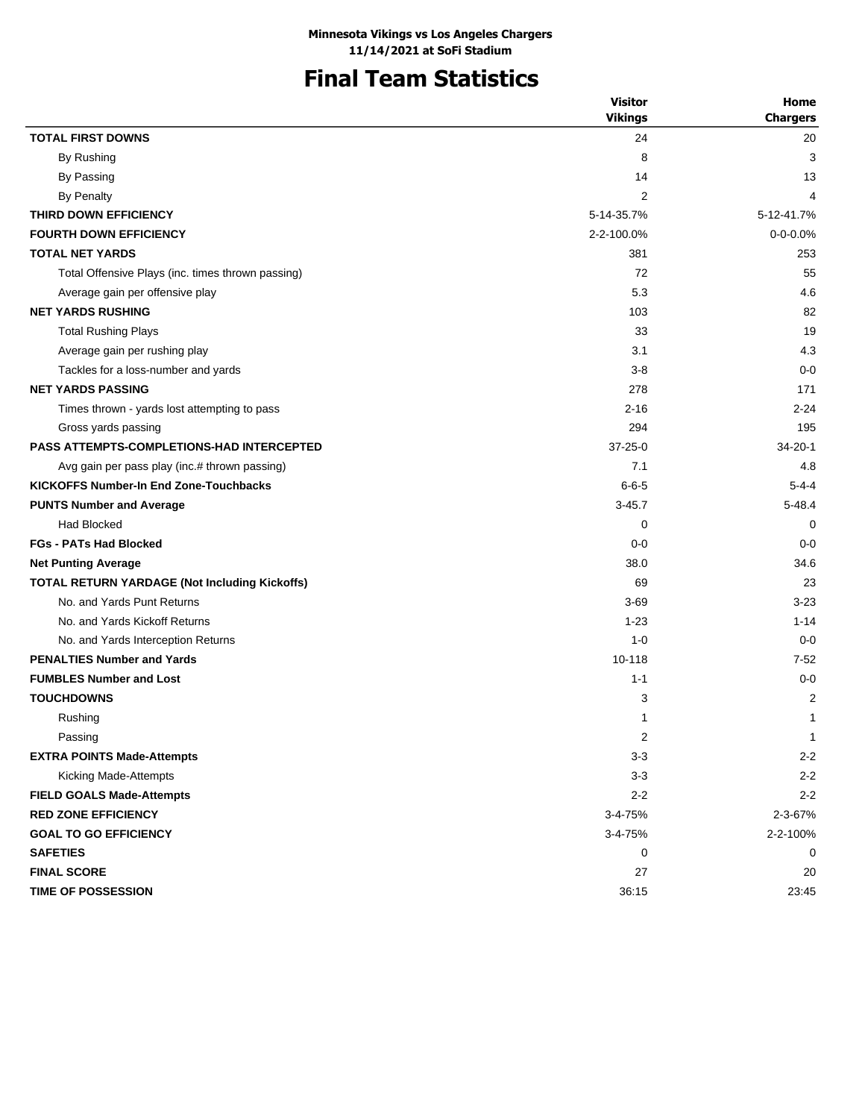# **Final Team Statistics**

|                                                   | <b>Visitor</b> | Home            |
|---------------------------------------------------|----------------|-----------------|
|                                                   | <b>Vikings</b> | <b>Chargers</b> |
| <b>TOTAL FIRST DOWNS</b>                          | 24             | 20              |
| By Rushing                                        | 8              | 3               |
| By Passing                                        | 14             | 13              |
| <b>By Penalty</b>                                 | 2              | 4               |
| THIRD DOWN EFFICIENCY                             | 5-14-35.7%     | 5-12-41.7%      |
| <b>FOURTH DOWN EFFICIENCY</b>                     | 2-2-100.0%     | $0 - 0 - 0.0\%$ |
| <b>TOTAL NET YARDS</b>                            | 381            | 253             |
| Total Offensive Plays (inc. times thrown passing) | 72             | 55              |
| Average gain per offensive play                   | 5.3            | 4.6             |
| <b>NET YARDS RUSHING</b>                          | 103            | 82              |
| <b>Total Rushing Plays</b>                        | 33             | 19              |
| Average gain per rushing play                     | 3.1            | 4.3             |
| Tackles for a loss-number and yards               | $3 - 8$        | $0 - 0$         |
| <b>NET YARDS PASSING</b>                          | 278            | 171             |
| Times thrown - yards lost attempting to pass      | $2 - 16$       | $2 - 24$        |
| Gross yards passing                               | 294            | 195             |
| <b>PASS ATTEMPTS-COMPLETIONS-HAD INTERCEPTED</b>  | $37 - 25 - 0$  | $34 - 20 - 1$   |
| Avg gain per pass play (inc.# thrown passing)     | 7.1            | 4.8             |
| <b>KICKOFFS Number-In End Zone-Touchbacks</b>     | $6 - 6 - 5$    | $5 - 4 - 4$     |
| <b>PUNTS Number and Average</b>                   | $3 - 45.7$     | $5 - 48.4$      |
| <b>Had Blocked</b>                                | 0              | 0               |
| <b>FGs - PATs Had Blocked</b>                     | $0 - 0$        | $0 - 0$         |
| <b>Net Punting Average</b>                        | 38.0           | 34.6            |
| TOTAL RETURN YARDAGE (Not Including Kickoffs)     | 69             | 23              |
| No. and Yards Punt Returns                        | $3 - 69$       | $3 - 23$        |
| No. and Yards Kickoff Returns                     | $1 - 23$       | $1 - 14$        |
| No. and Yards Interception Returns                | $1 - 0$        | $0 - 0$         |
| <b>PENALTIES Number and Yards</b>                 | 10-118         | $7 - 52$        |
| <b>FUMBLES Number and Lost</b>                    | $1 - 1$        | $0 - 0$         |
| <b>TOUCHDOWNS</b>                                 | 3              | $\overline{2}$  |
| Rushing                                           | 1              | 1               |
| Passing                                           | 2              | $\mathbf{1}$    |
| <b>EXTRA POINTS Made-Attempts</b>                 | $3-3$          | $2 - 2$         |
| <b>Kicking Made-Attempts</b>                      | $3 - 3$        | $2 - 2$         |
| <b>FIELD GOALS Made-Attempts</b>                  | $2 - 2$        | $2 - 2$         |
| <b>RED ZONE EFFICIENCY</b>                        | 3-4-75%        | 2-3-67%         |
| <b>GOAL TO GO EFFICIENCY</b>                      | 3-4-75%        | 2-2-100%        |
| <b>SAFETIES</b>                                   | 0              | 0               |
| <b>FINAL SCORE</b>                                | 27             | 20              |
| TIME OF POSSESSION                                | 36:15          | 23:45           |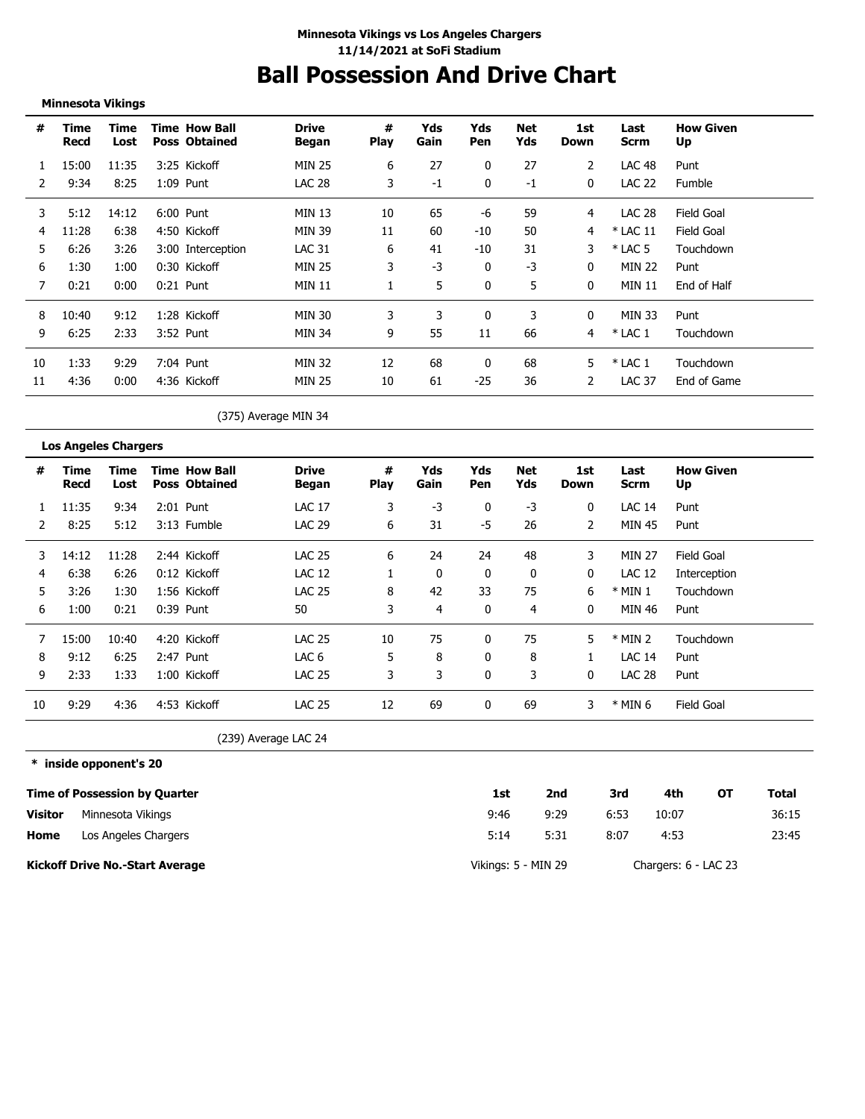# **Ball Possession And Drive Chart**

**Minnesota Vikings**

| #  | Time<br>Recd | Time<br>Lost | <b>Time How Ball</b><br><b>Poss Obtained</b> | <b>Drive</b><br>Began | #<br><b>Play</b> | Yds<br>Gain | Yds<br>Pen | Net<br>Yds | 1st<br>Down  | Last<br>Scrm  | <b>How Given</b><br>Up |
|----|--------------|--------------|----------------------------------------------|-----------------------|------------------|-------------|------------|------------|--------------|---------------|------------------------|
|    | 15:00        | 11:35        | 3:25 Kickoff                                 | MIN 25                | 6                | 27          | 0          | 27         | 2            | <b>LAC 48</b> | Punt                   |
| 2  | 9:34         | 8:25         | $1:09$ Punt                                  | <b>LAC 28</b>         | 3                | -1          | 0          | -1         | $\mathbf{0}$ | <b>LAC 22</b> | Fumble                 |
| 3  | 5:12         | 14:12        | 6:00 Punt                                    | MIN 13                | 10               | 65          | -6         | 59         | 4            | <b>LAC 28</b> | Field Goal             |
| 4  | 11:28        | 6:38         | 4:50 Kickoff                                 | <b>MIN 39</b>         | 11               | 60          | $-10$      | 50         | 4            | $*$ LAC 11    | <b>Field Goal</b>      |
| 5  | 6:26         | 3:26         | 3:00 Interception                            | <b>LAC 31</b>         | 6                | 41          | -10        | 31         | 3            | $*$ LAC 5     | Touchdown              |
| 6  | 1:30         | 1:00         | 0:30 Kickoff                                 | <b>MIN 25</b>         | 3                | $-3$        | 0          | -3         | $\Omega$     | <b>MIN 22</b> | Punt                   |
|    | 0:21         | 0:00         | $0:21$ Punt                                  | <b>MIN 11</b>         |                  | 5           | $\Omega$   | 5          | $\Omega$     | <b>MIN 11</b> | End of Half            |
| 8  | 10:40        | 9:12         | 1:28 Kickoff                                 | <b>MIN 30</b>         | 3                | 3           | 0          | 3          | 0            | MIN 33        | Punt                   |
| 9  | 6:25         | 2:33         | 3:52 Punt                                    | MIN 34                | 9                | 55          | 11         | 66         | 4            | $*$ LAC 1     | Touchdown              |
| 10 | 1:33         | 9:29         | 7:04 Punt                                    | <b>MIN 32</b>         | 12               | 68          | 0          | 68         | 5.           | $*$ LAC 1     | Touchdown              |
| 11 | 4:36         | 0:00         | 4:36 Kickoff                                 | MIN 25                | 10               | 61          | $-25$      | 36         | 2            | LAC 37        | End of Game            |

(375) Average MIN 34

**Los Angeles Chargers # Time Time Drive # Yds Yds Net 1st Last How Given Time How Ball Recd Lost Poss Obtained Began Play Gain Pen Yds Down Scrm Up** 1 11:35 9:34 2:01 Punt LAC 17 3 -3 0 -3 0 LAC 14 Punt 2 8:25 5:12 3:13 Fumble LAC 29 6 31 -5 26 2 MIN 45 Punt  $\frac{1}{2}$ -----. . . . . 3 14:12 11:28 2:44 Kickoff LAC 25 6 24 24 48 3 MIN 27 Field Goal 4 6:38 6:26 0:12 Kickoff LAC 12 1 0 0 0 0 LAC 12 Interception 5 3:26 1:30 1:56 Kickoff LAC 25 8 42 33 75 6 \* MIN 1 Touchdown 6 1:00 0:21 0:39 Punt 50 3 4 0 4 0 MIN 46 Punt 7 15:00 10:40 4:20 Kickoff LAC 25 10 75 0 75 5 \* MIN 2 Touchdown 8 9:12 6:25 2:47 Punt LAC 6 5 8 0 8 1 LAC 14 Punt 9 2:33 1:33 1:00 Kickoff LAC 25 3 3 0 3 0 LAC 28 Punt 10 9:29 4:36 4:53 Kickoff LAC 25 12 69 0 69 3 \* MIN 6 Field Goal

(239) Average LAC 24

#### **\* inside opponent's 20**

|                | <b>Time of Possession by Quarter</b>   | 1st                 | 2nd  | 3rd  | 4th                  | ΟТ | Total |
|----------------|----------------------------------------|---------------------|------|------|----------------------|----|-------|
| <b>Visitor</b> | Minnesota Vikings                      | 9:46                | 9:29 | 6:53 | 10:07                |    | 36:15 |
| Home           | Los Angeles Chargers                   | 5:14                | 5:31 | 8:07 | 4:53                 |    | 23:45 |
|                | <b>Kickoff Drive No.-Start Average</b> | Vikings: 5 - MIN 29 |      |      | Chargers: 6 - LAC 23 |    |       |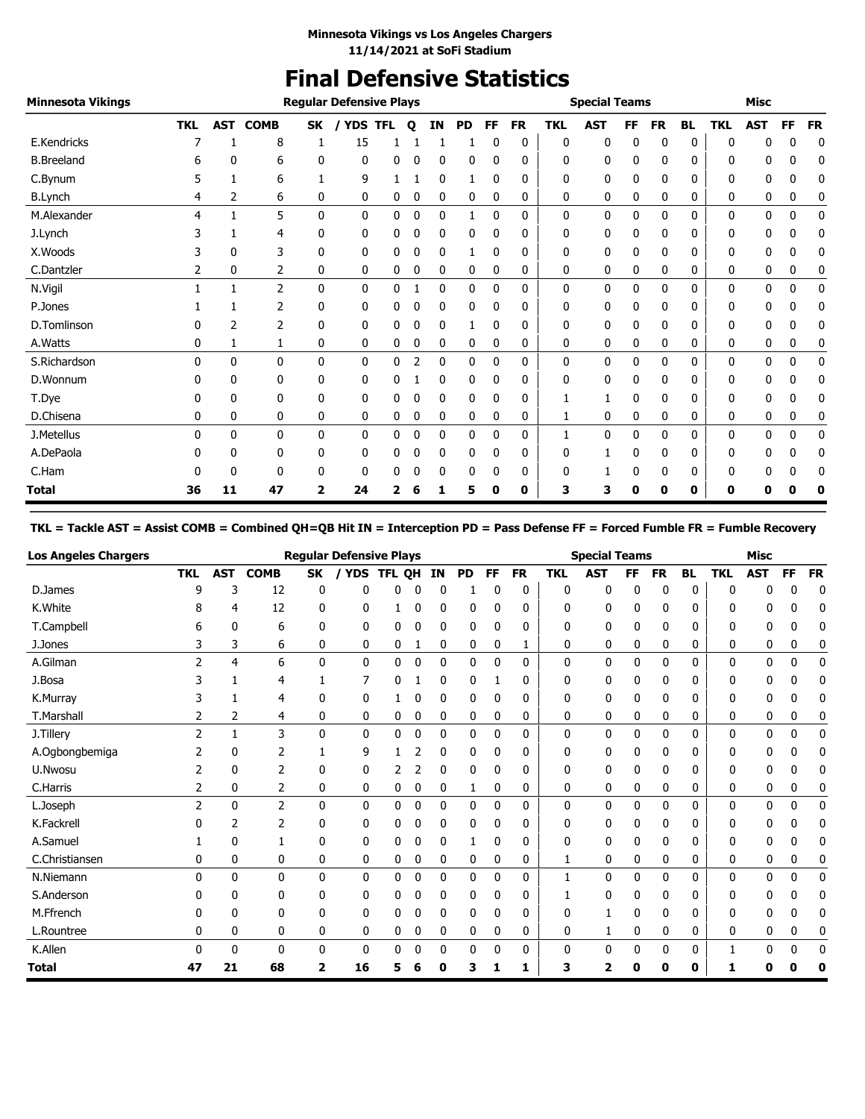# **Final Defensive Statistics**

| <b>Minnesota Vikings</b> |            |              |                 |              | <b>Regular Defensive Plays</b> |   |   |           |           |           |           |            | <b>Special Teams</b> |    |           |           |            | <b>Misc</b> |           |           |
|--------------------------|------------|--------------|-----------------|--------------|--------------------------------|---|---|-----------|-----------|-----------|-----------|------------|----------------------|----|-----------|-----------|------------|-------------|-----------|-----------|
|                          | <b>TKL</b> |              | <b>AST COMB</b> | <b>SK</b>    | <b>YDS TFL</b>                 |   | Q | <b>IN</b> | <b>PD</b> | <b>FF</b> | <b>FR</b> | <b>TKL</b> | <b>AST</b>           | FF | <b>FR</b> | <b>BL</b> | <b>TKL</b> | <b>AST</b>  | <b>FF</b> | <b>FR</b> |
| E.Kendricks              |            |              | 8               |              | 15                             |   |   |           |           | C         | 0         | 0          | 0                    | 0  | 0         | 0         | n          |             | n         | 0         |
| <b>B.Breeland</b>        | 6          | 0            | 6               | 0            | 0                              | 0 | 0 | 0         | 0         | 0         | 0         | 0          | 0                    | 0  | 0         | 0         | 0          | 0           | 0         | 0         |
| C.Bynum                  |            |              | 6               |              | 9                              |   |   | 0         |           | 0         | 0         | 0          | 0                    | 0  | 0         | 0         | 0          | 0           | 0         | 0         |
| <b>B.Lynch</b>           | 4          | 2            | 6               | 0            | 0                              | 0 | 0 | 0         | 0         | 0         | 0         | 0          | 0                    | 0  | 0         | 0         | 0          | 0           | 0         | 0         |
| M.Alexander              | 4          | $\mathbf{1}$ | 5               | $\mathbf{0}$ | $\mathbf{0}$                   | 0 | 0 | 0         | 1         | 0         | 0         | 0          | 0                    | 0  | 0         | 0         | 0          | 0           | 0         | 0         |
| J.Lynch                  |            |              | 4               | 0            | 0                              | 0 | 0 | 0         | 0         | 0         | 0         | 0          | 0                    | 0  | 0         | 0         | 0          | 0           | 0         | 0         |
| X.Woods                  | 3          | 0            | 3               | 0            | 0                              | 0 | 0 | 0         | 1         | 0         | 0         | 0          | 0                    | 0  | 0         | 0         | 0          | 0           | 0         | 0         |
| C.Dantzler               | 2          | 0            | 2               | 0            | 0                              | 0 | 0 | 0         | 0         | 0         | 0         | 0          | 0                    | 0  | 0         | 0         | 0          | 0           | 0         | 0         |
| N.Vigil                  |            |              | 2               | $\mathbf{0}$ | $\mathbf{0}$                   | 0 |   | 0         | 0         | 0         | 0         | 0          | 0                    | 0  | 0         | 0         | 0          | 0           | 0         | 0         |
| P.Jones                  |            |              | 2               | 0            | 0                              | 0 | 0 | 0         | 0         | 0         | 0         | 0          | 0                    | 0  | 0         | 0         | 0          | 0           | 0         | 0         |
| D.Tomlinson              |            | 2            | 2               | 0            | 0                              | 0 | 0 | 0         |           | 0         | 0         | 0          | 0                    | 0  | 0         | 0         | 0          | 0           | 0         | 0         |
| A.Watts                  | 0          | 1            | 1               | 0            | 0                              | 0 | 0 | 0         | 0         | 0         | 0         | 0          | 0                    | 0  | 0         | 0         | 0          | 0           | 0         | 0         |
| S.Richardson             | 0          | 0            | 0               | 0            | 0                              | 0 | 2 | 0         | 0         | 0         | 0         | 0          | 0                    | 0  | 0         | 0         | 0          | 0           | 0         | 0         |
| D.Wonnum                 |            | 0            | 0               | 0            | 0                              | 0 |   | 0         | 0         | 0         | 0         | 0          | 0                    | 0  | 0         | 0         | 0          | O           | 0         | 0         |
| T.Dye                    |            | 0            | 0               | 0            | 0                              | 0 | 0 | 0         | 0         | 0         | 0         |            | 1                    | 0  | 0         | 0         | 0          | 0           | 0         | 0         |
| D.Chisena                | 0          | 0            | 0               | 0            | 0                              | 0 | 0 | 0         | 0         | 0         | 0         |            | 0                    | 0  | 0         | 0         | 0          | 0           | 0         | 0         |
| J.Metellus               | 0          | 0            | $\mathbf{0}$    | $\mathbf{0}$ | 0                              | 0 | 0 | 0         | 0         | 0         | 0         |            | 0                    | 0  | 0         | 0         | 0          | 0           | 0         | 0         |
| A.DePaola                | 0          | 0            | 0               | 0            | 0                              | 0 | 0 | 0         | 0         | 0         | 0         | 0          |                      | 0  | 0         | 0         | 0          | 0           | 0         | 0         |
| C.Ham                    | 0          | 0            | 0               | 0            | 0                              | 0 | 0 | 0         | 0         | 0         | 0         | 0          |                      | 0  | 0         | 0         | 0          | 0           | 0         | 0         |
| Total                    | 36         | 11           | 47              | 2            | 24                             | 2 | 6 | 1         | 5         | 0         | 0         | З          | з                    | 0  | 0         | 0         | 0          | 0           | 0         | 0         |

### **TKL = Tackle AST = Assist COMB = Combined QH=QB Hit IN = Interception PD = Pass Defense FF = Forced Fumble FR = Fumble Recovery**

| <b>Los Angeles Chargers</b> |               |            |                |              | <b>Regular Defensive Plays</b> |        |   |              |           |              |           |            | <b>Special Teams</b> |           |              |              |            | <b>Misc</b>  |           |             |
|-----------------------------|---------------|------------|----------------|--------------|--------------------------------|--------|---|--------------|-----------|--------------|-----------|------------|----------------------|-----------|--------------|--------------|------------|--------------|-----------|-------------|
|                             | <b>TKL</b>    | <b>AST</b> | <b>COMB</b>    | <b>SK</b>    | <b>YDS</b>                     | TFL OH |   | IN           | <b>PD</b> | <b>FF</b>    | <b>FR</b> | <b>TKL</b> | <b>AST</b>           | <b>FF</b> | <b>FR</b>    | <b>BL</b>    | <b>TKL</b> | <b>AST</b>   | <b>FF</b> | <b>FR</b>   |
| D.James                     | q             | 3          | 12             | 0            | 0                              | n      |   | 0            |           |              | 0         | 0          | 0                    | 0         | 0            | 0            | 0          | n            | 0         | 0           |
| K.White                     | 8             | 4          | 12             | 0            | 0                              |        | 0 | 0            | 0         | 0            | 0         | 0          | 0                    | 0         | 0            | 0            | 0          | 0            | 0         | 0           |
| T.Campbell                  | 6             | 0          | 6              | 0            | 0                              | 0      | 0 | 0            | 0         |              | 0         | 0          | 0                    | 0         | 0            | 0            | 0          | 0            | 0         | 0           |
| J.Jones                     | 3             | 3          | 6              | 0            | 0                              | 0      | 1 | 0            | 0         | 0            | 1         | 0          | 0                    | 0         | 0            | 0            | 0          | 0            | 0         | 0           |
| A.Gilman                    | $\mathcal{P}$ | 4          | 6              | 0            | $\mathbf{0}$                   | 0      | 0 | $\mathbf{0}$ | 0         | $\Omega$     | 0         | 0          | $\mathbf{0}$         | 0         | 0            | $\mathbf{0}$ | 0          | $\mathbf{0}$ | 0         | 0           |
| J.Bosa                      |               |            | 4              |              |                                | 0      |   | 0            | 0         |              | 0         | 0          | 0                    | 0         | 0            | 0            | 0          | 0            | ŋ         | 0           |
| K.Murray                    |               |            | 4              | 0            | 0                              |        | 0 | 0            | 0         | 0            | 0         | 0          | 0                    | 0         | 0            | 0            | 0          | 0            | 0         | 0           |
| T.Marshall                  | 2             | 2          | 4              | 0            | 0                              | 0      | 0 | 0            | 0         | 0            | 0         | 0          | 0                    | 0         | 0            | 0            | 0          | 0            | 0         | 0           |
| J.Tillery                   | 2             | 1          | 3              | 0            | $\mathbf{0}$                   | 0      | 0 | 0            | 0         | 0            | 0         | 0          | 0                    | 0         | $\mathbf{0}$ | $\mathbf{0}$ | 0          | 0            | 0         | 0           |
| A.Ogbongbemiga              |               | 0          | 2              |              | 9                              |        |   | 0            | 0         |              | 0         | 0          | 0                    | 0         | 0            | 0            | 0          | 0            | n         | 0           |
| U.Nwosu                     |               | 0          | $\overline{2}$ | 0            | 0                              |        |   | 0            | 0         | 0            | 0         | 0          | 0                    | 0         | 0            | 0            | 0          | 0            | 0         | 0           |
| C.Harris                    | 2             | 0          | 2              | 0            | 0                              | 0      | 0 | 0            | 1         | 0            | 0         | 0          | 0                    | 0         | 0            | 0            | 0          | 0            | 0         | 0           |
| L.Joseph                    | 2             | 0          | $\overline{2}$ | 0            | $\mathbf{0}$                   | 0      | 0 | 0            | 0         | $\mathbf{0}$ | 0         | 0          | 0                    | 0         | $\mathbf{0}$ | 0            | 0          | 0            | 0         | 0           |
| K.Fackrell                  |               | 2          | 2              | 0            | 0                              | 0      | 0 | 0            | 0         |              | 0         | 0          | 0                    |           | 0            | 0            | 0          | 0            | n         | 0           |
| A.Samuel                    |               | 0          | 1              | 0            | 0                              | 0      | 0 | 0            |           | O            | 0         | 0          | 0                    | 0         | 0            | 0            | 0          | 0            | 0         | 0           |
| C.Christiansen              | 0             | 0          | 0              | 0            | 0                              | 0      | 0 | 0            | 0         | 0            | 0         | 1          | 0                    | 0         | 0            | 0            | 0          | 0            | 0         | 0           |
| N.Niemann                   | 0             | 0          | 0              | $\mathbf{0}$ | $\mathbf{0}$                   | 0      | 0 | 0            | 0         | 0            | 0         | 1          | 0                    | 0         | $\mathbf{0}$ | $\mathbf{0}$ | 0          | 0            | 0         | $\mathbf 0$ |
| S.Anderson                  |               | 0          | 0              | 0            | 0                              | 0      |   | 0            | 0         | 0            | 0         |            | 0                    | 0         | 0            | 0            | 0          | 0            | 0         | 0           |
| M.Ffrench                   |               | 0          | 0              | 0            | 0                              | 0      |   | 0            | 0         | 0            | 0         | 0          |                      | 0         | 0            | 0            | 0          | 0            | 0         | 0           |
| L.Rountree                  | 0             | 0          | 0              | 0            | 0                              | 0      | 0 | 0            | 0         | 0            | 0         | 0          | 1                    | 0         | 0            | 0            | 0          | 0            | 0         | 0           |
| K.Allen                     |               | 0          | $\mathbf{0}$   | 0            | 0                              | 0      | 0 | 0            | 0         | 0            | 0         | 0          | 0                    | 0         | 0            | $\mathbf{0}$ |            | 0            | 0         | 0           |
| <b>Total</b>                | 47            | 21         | 68             | 2            | 16                             | 5      |   | 0            | 3         |              | 1         | 3          | 2                    | 0         | 0            | 0            |            |              |           | 0           |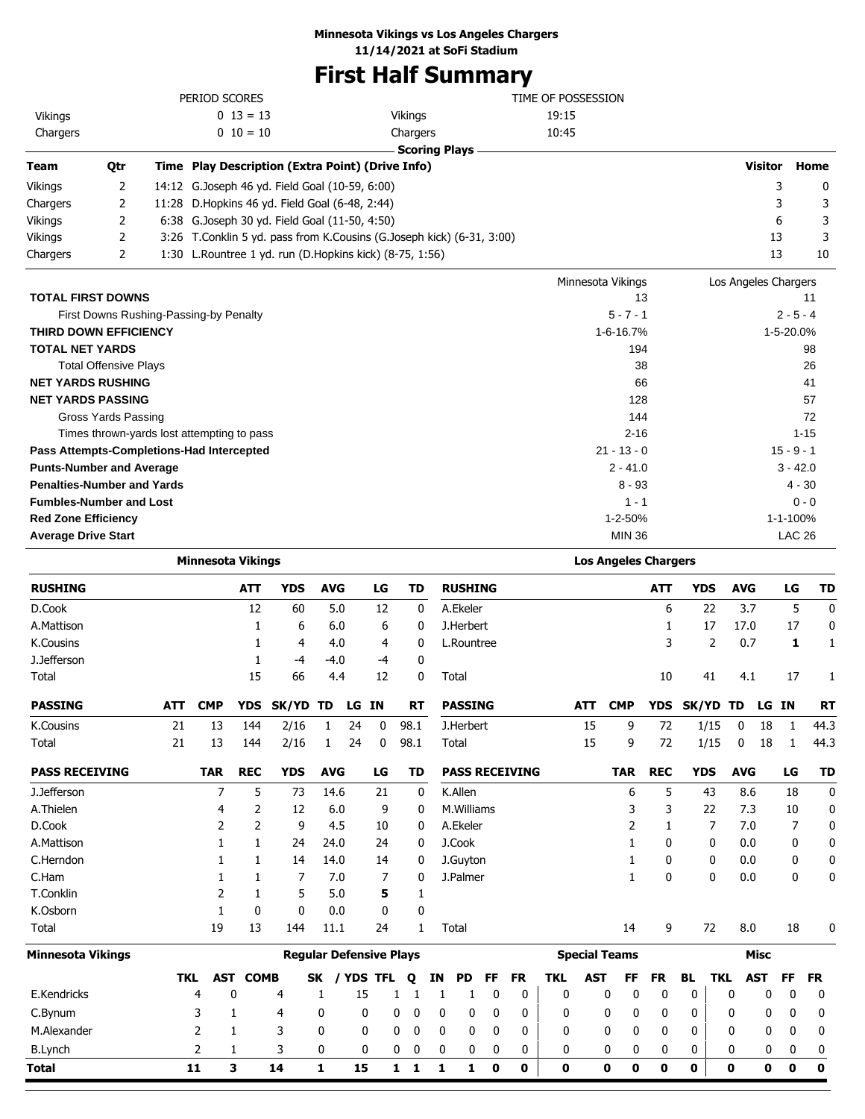### **Minnesota Vikings vs Los Angeles Chargers**

**11/14/2021 at SoFi Stadium**

# **First Half Summary**

|                                           |                                            |     | PERIOD SCORES                |              |                                                                                                  |                                |       |         |           |    |                        |           |           | TIME OF POSSESSION |            |                             |                   |                    |                         |                      |               |             |
|-------------------------------------------|--------------------------------------------|-----|------------------------------|--------------|--------------------------------------------------------------------------------------------------|--------------------------------|-------|---------|-----------|----|------------------------|-----------|-----------|--------------------|------------|-----------------------------|-------------------|--------------------|-------------------------|----------------------|---------------|-------------|
| Vikings                                   |                                            |     |                              | $0 13 = 13$  |                                                                                                  |                                |       |         | Vikings   |    |                        |           |           | 19:15              |            |                             |                   |                    |                         |                      |               |             |
| Chargers                                  |                                            |     |                              | $0 10 = 10$  |                                                                                                  |                                |       |         | Chargers  |    |                        |           |           | 10:45              |            |                             |                   |                    |                         |                      |               |             |
| Team                                      | Qtr                                        |     |                              |              | Time Play Description (Extra Point) (Drive Info)                                                 |                                |       |         |           |    | <b>Scoring Plays</b>   |           |           |                    |            |                             |                   |                    |                         | Visitor              |               | Home        |
|                                           |                                            |     |                              |              |                                                                                                  |                                |       |         |           |    |                        |           |           |                    |            |                             |                   |                    |                         |                      |               |             |
| <b>Vikings</b>                            | 2<br>2                                     |     |                              |              | 14:12 G.Joseph 46 yd. Field Goal (10-59, 6:00)<br>11:28 D.Hopkins 46 yd. Field Goal (6-48, 2:44) |                                |       |         |           |    |                        |           |           |                    |            |                             |                   |                    |                         |                      | 3<br>3        | 0<br>3      |
| Chargers<br>Vikings                       | 2                                          |     |                              |              | 6:38 G.Joseph 30 yd. Field Goal (11-50, 4:50)                                                    |                                |       |         |           |    |                        |           |           |                    |            |                             |                   |                    |                         |                      | 6             | 3           |
| Vikings                                   | 2                                          |     |                              |              | 3:26 T.Conklin 5 yd. pass from K.Cousins (G.Joseph kick) (6-31, 3:00)                            |                                |       |         |           |    |                        |           |           |                    |            |                             |                   |                    |                         |                      | 13            | 3           |
| Chargers                                  | 2                                          |     |                              |              | 1:30 L.Rountree 1 yd. run (D.Hopkins kick) (8-75, 1:56)                                          |                                |       |         |           |    |                        |           |           |                    |            |                             |                   |                    |                         |                      | 13            | 10          |
|                                           |                                            |     |                              |              |                                                                                                  |                                |       |         |           |    |                        |           |           |                    |            |                             |                   |                    |                         |                      |               |             |
|                                           |                                            |     |                              |              |                                                                                                  |                                |       |         |           |    |                        |           |           |                    |            | Minnesota Vikings           |                   |                    |                         | Los Angeles Chargers |               |             |
| <b>TOTAL FIRST DOWNS</b>                  |                                            |     |                              |              |                                                                                                  |                                |       |         |           |    |                        |           |           |                    |            | $5 - 7 - 1$                 | 13                |                    |                         |                      | $2 - 5 - 4$   | 11          |
| THIRD DOWN EFFICIENCY                     | First Downs Rushing-Passing-by Penalty     |     |                              |              |                                                                                                  |                                |       |         |           |    |                        |           |           |                    |            | 1-6-16.7%                   |                   |                    |                         |                      | 1-5-20.0%     |             |
| <b>TOTAL NET YARDS</b>                    |                                            |     |                              |              |                                                                                                  |                                |       |         |           |    |                        |           |           |                    |            | 194                         |                   |                    |                         |                      |               | 98          |
|                                           | <b>Total Offensive Plays</b>               |     |                              |              |                                                                                                  |                                |       |         |           |    |                        |           |           |                    |            |                             | 38                |                    |                         |                      |               | 26          |
| <b>NET YARDS RUSHING</b>                  |                                            |     |                              |              |                                                                                                  |                                |       |         |           |    |                        |           |           |                    |            |                             | 66                |                    |                         |                      |               | 41          |
| <b>NET YARDS PASSING</b>                  |                                            |     |                              |              |                                                                                                  |                                |       |         |           |    |                        |           |           |                    |            | 128                         |                   |                    |                         |                      |               | 57          |
|                                           | Gross Yards Passing                        |     |                              |              |                                                                                                  |                                |       |         |           |    |                        |           |           |                    |            | 144                         |                   |                    |                         |                      |               | 72          |
|                                           | Times thrown-yards lost attempting to pass |     |                              |              |                                                                                                  |                                |       |         |           |    |                        |           |           |                    |            | $2 - 16$                    |                   |                    |                         |                      |               | $1 - 15$    |
| Pass Attempts-Completions-Had Intercepted |                                            |     |                              |              |                                                                                                  |                                |       |         |           |    |                        |           |           |                    |            | $21 - 13 - 0$               |                   |                    |                         |                      | $15 - 9 - 1$  |             |
| <b>Punts-Number and Average</b>           |                                            |     |                              |              |                                                                                                  |                                |       |         |           |    |                        |           |           |                    |            | $2 - 41.0$                  |                   |                    |                         |                      | $3 - 42.0$    |             |
| <b>Penalties-Number and Yards</b>         |                                            |     |                              |              |                                                                                                  |                                |       |         |           |    |                        |           |           |                    |            | 8 - 93                      |                   |                    |                         |                      | 4 - 30        |             |
| <b>Fumbles-Number and Lost</b>            |                                            |     |                              |              |                                                                                                  |                                |       |         |           |    |                        |           |           |                    |            | $1 - 1$                     |                   |                    |                         |                      |               | $0 - 0$     |
| <b>Red Zone Efficiency</b>                |                                            |     |                              |              |                                                                                                  |                                |       |         |           |    |                        |           |           |                    |            | 1-2-50%                     |                   |                    |                         |                      | 1-1-100%      |             |
| <b>Average Drive Start</b>                |                                            |     |                              |              |                                                                                                  |                                |       |         |           |    |                        |           |           |                    |            | <b>MIN 36</b>               |                   |                    |                         |                      | <b>LAC 26</b> |             |
|                                           |                                            |     | <b>Minnesota Vikings</b>     |              |                                                                                                  |                                |       |         |           |    |                        |           |           |                    |            | <b>Los Angeles Chargers</b> |                   |                    |                         |                      |               |             |
| <b>RUSHING</b>                            |                                            |     |                              | ATT          | <b>YDS</b>                                                                                       | <b>AVG</b>                     |       | LG      | <b>TD</b> |    | <b>RUSHING</b>         |           |           |                    |            |                             | ATT               | <b>YDS</b>         |                         | <b>AVG</b>           | LG            | TD          |
| D.Cook                                    |                                            |     |                              | 12           | 60                                                                                               | 5.0                            |       | 12      | 0         |    | A.Ekeler               |           |           |                    |            |                             | 6                 | 22                 |                         | 3.7                  | 5             | $\mathbf 0$ |
| A.Mattison                                |                                            |     |                              | 1            | 6                                                                                                | 6.0                            |       | 6       | 0         |    | J.Herbert              |           |           |                    |            |                             | 1                 | 17                 |                         | 17.0                 | 17            | 0           |
| <b>K.Cousins</b>                          |                                            |     |                              | 1            | 4                                                                                                | 4.0                            |       | 4       | 0         |    | L.Rountree             |           |           |                    |            |                             | 3                 | 2                  |                         | 0.7                  | 1             | 1           |
| J.Jefferson                               |                                            |     |                              | 1            | -4                                                                                               | $-4.0$                         |       | -4      | 0         |    |                        |           |           |                    |            |                             |                   |                    |                         |                      |               |             |
| Total                                     |                                            |     |                              | 15           | 66                                                                                               | 4.4                            |       | 12      | 0         |    | Total                  |           |           |                    |            |                             | 10                | 41                 |                         | 4.1                  | 17            | 1           |
| <b>PASSING</b>                            |                                            | ATT | <b>CMP</b>                   |              | YDS SK/YD TD                                                                                     |                                | LG IN |         | RT        |    | <b>PASSING</b>         |           |           |                    | ATT        | <b>CMP</b>                  |                   | YDS SK/YD TD LG IN |                         |                      |               | RT          |
| K.Cousins                                 |                                            | 21  | 13                           | 144          | 2/16                                                                                             | $\mathbf{1}$                   | 24    |         | $0$ 98.1  |    | J.Herbert              |           |           |                    | 15         | 9                           | 72                | 1/15               | $\overline{\mathbf{0}}$ |                      | 18 1          | 44.3        |
| Total                                     |                                            | 21  | 13                           | 144          | 2/16                                                                                             | 1                              | 24    | 0       | 98.1      |    | Total                  |           |           |                    | 15         | 9                           | 72                | 1/15               | 0                       | 18                   | 1             | 44.3        |
|                                           |                                            |     |                              |              |                                                                                                  |                                |       |         |           |    |                        |           |           |                    |            |                             |                   |                    |                         |                      |               |             |
| <b>PASS RECEIVING</b>                     |                                            |     | <b>TAR</b><br>$\overline{7}$ | <b>REC</b>   | <b>YDS</b>                                                                                       | <b>AVG</b>                     |       | LG      | <b>TD</b> |    | <b>PASS RECEIVING</b>  |           |           |                    |            | <b>TAR</b>                  | <b>REC</b>        | <b>YDS</b>         |                         | <b>AVG</b>           | LG            | <b>TD</b>   |
| J.Jefferson<br>A.Thielen                  |                                            |     |                              | 5            | 73                                                                                               | 14.6                           |       | 21      | 0         |    | K.Allen                |           |           |                    |            | 6                           | 5                 | 43                 |                         | 8.6                  | 18            | 0           |
| D.Cook                                    |                                            |     | 4<br>2                       | 2<br>2       | 12<br>9                                                                                          | 6.0<br>4.5                     |       | 9<br>10 | 0         |    | M.Williams<br>A.Ekeler |           |           |                    |            | 3<br>2                      | 3<br>$\mathbf{1}$ | 22<br>7            |                         | 7.3<br>7.0           | 10<br>7       | 0<br>0      |
| A.Mattison                                |                                            |     | 1                            | $\mathbf{1}$ | 24                                                                                               | 24.0                           |       | 24      | 0<br>0    |    | J.Cook                 |           |           |                    |            | 1                           | 0                 | 0                  |                         | 0.0                  | 0             | 0           |
| C.Herndon                                 |                                            |     | 1                            | $\mathbf{1}$ | 14                                                                                               | 14.0                           |       | 14      | 0         |    | J.Guyton               |           |           |                    |            | 1                           | 0                 | 0                  |                         | 0.0                  | 0             | 0           |
| C.Ham                                     |                                            |     | 1                            | $\mathbf{1}$ | 7                                                                                                | 7.0                            |       | 7       | 0         |    | J.Palmer               |           |           |                    |            | 1                           | 0                 | 0                  |                         | 0.0                  | 0             | 0           |
| T.Conklin                                 |                                            |     | 2                            | 1            | 5                                                                                                | 5.0                            |       | 5       | 1         |    |                        |           |           |                    |            |                             |                   |                    |                         |                      |               |             |
| K.Osborn                                  |                                            |     | $\mathbf{1}$                 | 0            | 0                                                                                                | 0.0                            |       | 0       | 0         |    |                        |           |           |                    |            |                             |                   |                    |                         |                      |               |             |
| Total                                     |                                            |     | 19                           | 13           | 144                                                                                              | 11.1                           |       | 24      | 1         |    | Total                  |           |           |                    |            | 14                          | 9                 | 72                 |                         | 8.0                  | 18            | 0           |
| <b>Minnesota Vikings</b>                  |                                            |     |                              |              |                                                                                                  | <b>Regular Defensive Plays</b> |       |         |           |    |                        |           |           |                    |            | <b>Special Teams</b>        |                   |                    |                         | Misc                 |               |             |
|                                           |                                            | TKL | <b>AST</b>                   | <b>COMB</b>  |                                                                                                  | SK / YDS TFL                   |       |         | Q         | IN | PD                     | <b>FF</b> | <b>FR</b> | <b>TKL</b>         | <b>AST</b> | FF                          | <b>FR</b>         | <b>BL</b>          | <b>TKL</b>              | <b>AST</b>           | <b>FF</b>     | FR          |
| E.Kendricks                               |                                            |     | 4                            | 0            | 4                                                                                                | 1                              | 15    |         | 1<br>1    |    | 1<br>1                 | 0         | 0         | 0                  |            | 0<br>0                      | 0                 | 0                  | 0                       | 0                    | 0             | 0           |
| C.Bynum                                   |                                            |     | 3                            | 1            | 4                                                                                                | 0                              | 0     |         | 0<br>0    | 0  | 0                      | 0         | 0         | 0                  |            | 0<br>0                      | 0                 | 0                  | 0                       | 0                    | 0             | 0           |
| M.Alexander                               |                                            |     | 2                            | 1            | 3                                                                                                | 0                              | 0     |         | 0<br>0    | 0  | 0                      | 0         | 0         | 0                  |            | 0<br>0                      | 0                 | 0                  | 0                       | 0                    | 0             | 0           |
| <b>B.Lynch</b>                            |                                            |     | 2                            | 1            | 3                                                                                                | 0                              | 0     |         | 0<br>0    |    | 0<br>0                 | 0         | 0         | 0                  |            | 0<br>0                      | 0                 | 0                  | 0                       | 0                    | 0             | 0           |
| <b>Total</b>                              |                                            |     | 11                           | 3            | 14                                                                                               | 1                              | 15    |         | $1\quad1$ | 1  | $\mathbf{1}$           | $\bf{0}$  | 0         | 0                  |            | $\mathbf 0$<br>0            | 0                 | 0                  | 0                       | $\mathbf 0$          | $\bf{0}$      | $\mathbf 0$ |

۰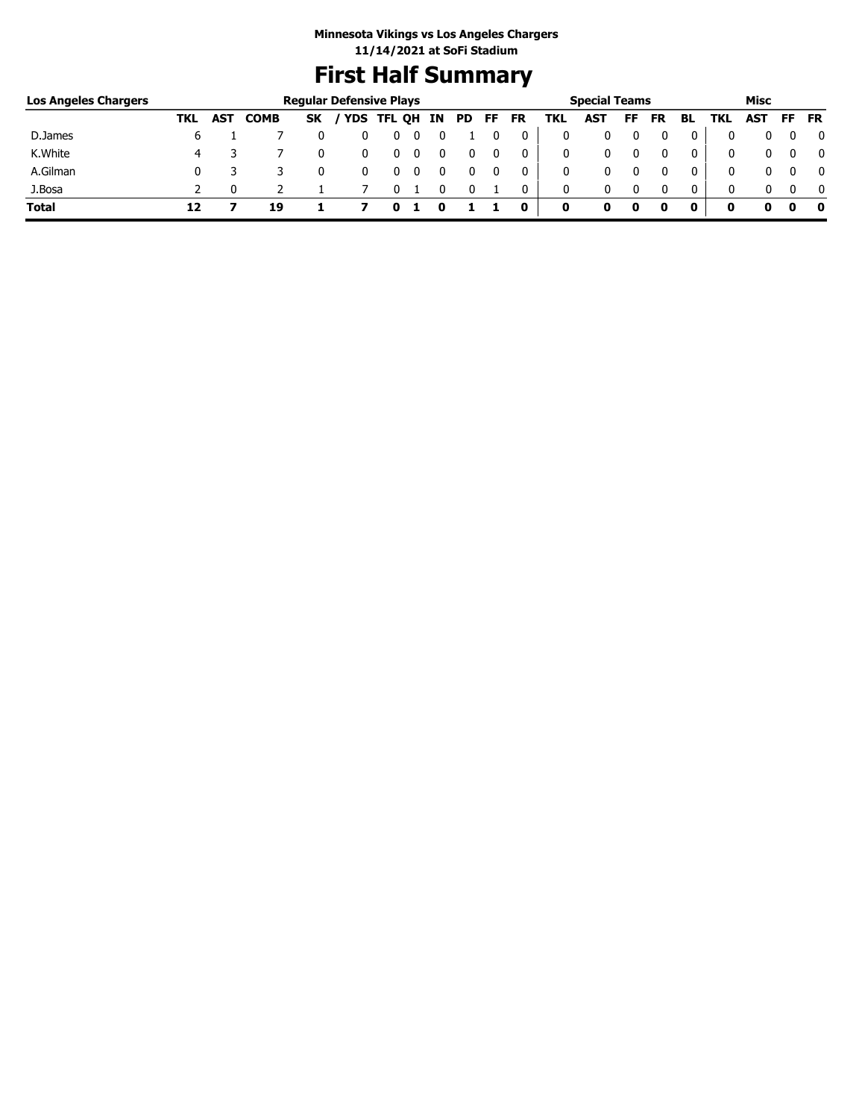# **First Half Summary**

| <b>Los Angeles Chargers</b> |     |     |             | <b>Regular Defensive Plays</b> |            |        |    |           |    |    |     | <b>Special Teams</b> |    |    |    |     | Misc       |    |           |
|-----------------------------|-----|-----|-------------|--------------------------------|------------|--------|----|-----------|----|----|-----|----------------------|----|----|----|-----|------------|----|-----------|
|                             | TKL | AST | <b>COMB</b> | <b>SK</b>                      | <b>YDS</b> | TFL QH | IN | <b>PD</b> | FF | FR | TKL | <b>AST</b>           | FF | FR | BL | TKL | <b>AST</b> | FF | <b>FR</b> |
| D.James                     | ь   |     |             |                                |            | υ      |    |           |    |    | 0   |                      |    |    | 0  |     |            |    | 0         |
| K.White                     | 4   |     |             |                                |            | U      |    |           |    | 0  | 0   |                      |    |    | 0  |     |            |    | 0         |
| A.Gilman                    |     |     |             |                                |            |        |    |           |    |    | 0   |                      |    |    | 0  |     |            |    | 0         |
| J.Bosa                      |     |     |             |                                |            |        |    |           |    | 0  | 0   |                      |    |    | 0  |     |            |    | $\Omega$  |
| <b>Total</b>                |     |     | 19          |                                |            |        |    |           |    | 0  | 0   | o                    | 0  |    |    |     |            |    | 0         |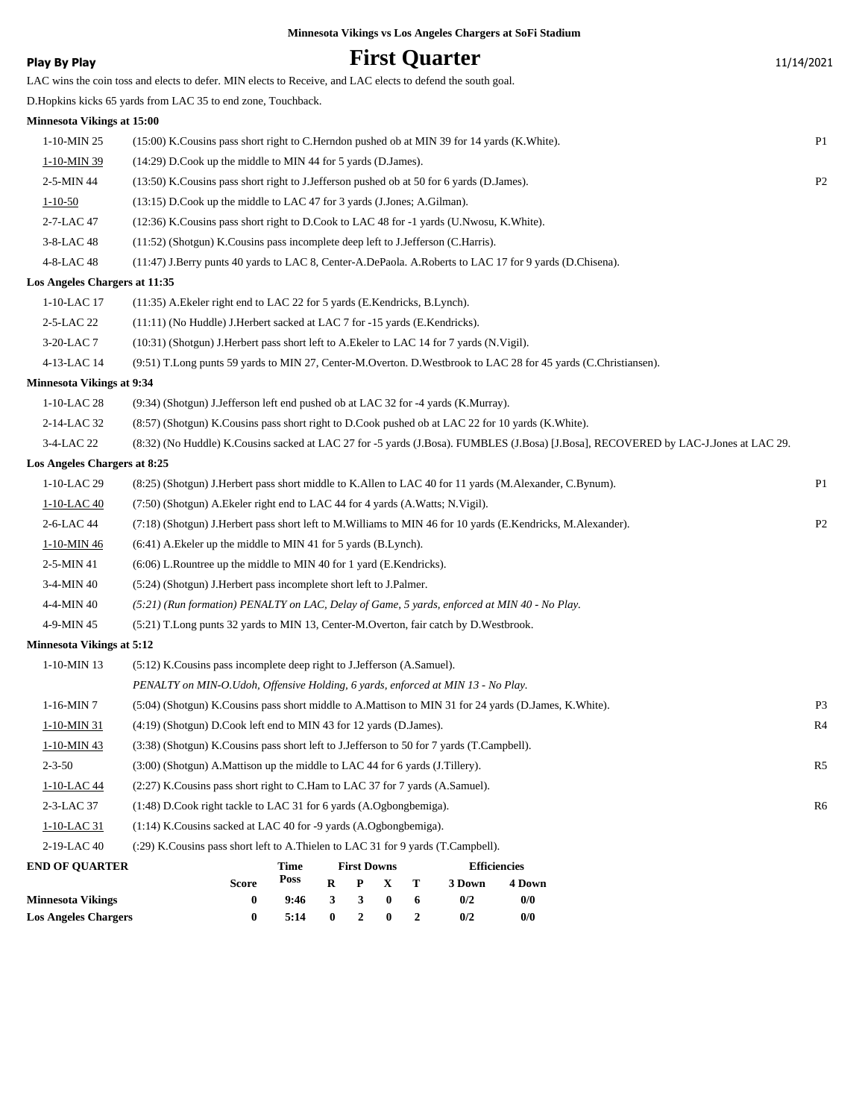**Play By Play Play Play Play First Quarter** 11/14/2021 LAC wins the coin toss and elects to defer. MIN elects to Receive, and LAC elects to defend the south goal. D.Hopkins kicks 65 yards from LAC 35 to end zone, Touchback. **Minnesota Vikings at 15:00** 1-10-MIN 25 (15:00) K.Cousins pass short right to C.Herndon pushed ob at MIN 39 for 14 yards (K.White). P1 1-10-MIN 39 (14:29) D.Cook up the middle to MIN 44 for 5 yards (D.James). 2-5-MIN 44 (13:50) K.Cousins pass short right to J.Jefferson pushed ob at 50 for 6 yards (D.James). P2 1-10-50 (13:15) D.Cook up the middle to LAC 47 for 3 yards (J.Jones; A.Gilman). 2-7-LAC 47 (12:36) K.Cousins pass short right to D.Cook to LAC 48 for -1 yards (U.Nwosu, K.White). 3-8-LAC 48 (11:52) (Shotgun) K.Cousins pass incomplete deep left to J.Jefferson (C.Harris). 4-8-LAC 48 (11:47) J.Berry punts 40 yards to LAC 8, Center-A.DePaola. A.Roberts to LAC 17 for 9 yards (D.Chisena). **Los Angeles Chargers at 11:35** 1-10-LAC 17 (11:35) A.Ekeler right end to LAC 22 for 5 yards (E.Kendricks, B.Lynch). 2-5-LAC 22 (11:11) (No Huddle) J.Herbert sacked at LAC 7 for -15 yards (E.Kendricks). 3-20-LAC 7 (10:31) (Shotgun) J.Herbert pass short left to A.Ekeler to LAC 14 for 7 yards (N.Vigil). 4-13-LAC 14 (9:51) T.Long punts 59 yards to MIN 27, Center-M.Overton. D.Westbrook to LAC 28 for 45 yards (C.Christiansen). **Minnesota Vikings at 9:34** 1-10-LAC 28 (9:34) (Shotgun) J.Jefferson left end pushed ob at LAC 32 for -4 yards (K.Murray). 2-14-LAC 32 (8:57) (Shotgun) K.Cousins pass short right to D.Cook pushed ob at LAC 22 for 10 yards (K.White). 3-4-LAC 22 (8:32) (No Huddle) K.Cousins sacked at LAC 27 for -5 yards (J.Bosa). FUMBLES (J.Bosa) [J.Bosa], RECOVERED by LAC-J.Jones at LAC 29. **Los Angeles Chargers at 8:25** 1-10-LAC 29 (8:25) (Shotgun) J.Herbert pass short middle to K.Allen to LAC 40 for 11 yards (M.Alexander, C.Bynum). P1 1-10-LAC 40 (7:50) (Shotgun) A.Ekeler right end to LAC 44 for 4 yards (A.Watts; N.Vigil). 2-6-LAC 44 (7:18) (Shotgun) J.Herbert pass short left to M.Williams to MIN 46 for 10 yards (E.Kendricks, M.Alexander). P2 1-10-MIN 46 (6:41) A.Ekeler up the middle to MIN 41 for 5 yards (B.Lynch). 2-5-MIN 41 (6:06) L.Rountree up the middle to MIN 40 for 1 yard (E.Kendricks). 3-4-MIN 40 (5:24) (Shotgun) J.Herbert pass incomplete short left to J.Palmer. 4-4-MIN 40 *(5:21) (Run formation) PENALTY on LAC, Delay of Game, 5 yards, enforced at MIN 40 - No Play.* 4-9-MIN 45 (5:21) T.Long punts 32 yards to MIN 13, Center-M.Overton, fair catch by D.Westbrook. **Minnesota Vikings at 5:12** 1-10-MIN 13 (5:12) K.Cousins pass incomplete deep right to J.Jefferson (A.Samuel). *PENALTY on MIN-O.Udoh, Offensive Holding, 6 yards, enforced at MIN 13 - No Play.* 1-16-MIN 7 (5:04) (Shotgun) K.Cousins pass short middle to A.Mattison to MIN 31 for 24 yards (D.James, K.White). P3 1-10-MIN 31 (4:19) (Shotgun) D.Cook left end to MIN 43 for 12 yards (D.James). R4 1-10-MIN 43 (3:38) (Shotgun) K.Cousins pass short left to J.Jefferson to 50 for 7 yards (T.Campbell). 2-3-50 (3:00) (Shotgun) A.Mattison up the middle to LAC 44 for 6 yards (J.Tillery). R5 1-10-LAC 44 (2:27) K.Cousins pass short right to C.Ham to LAC 37 for 7 yards (A.Samuel). 2-3-LAC 37 (1:48) D.Cook right tackle to LAC 31 for 6 yards (A.Ogbongbemiga). R6 1-10-LAC 31 (1:14) K.Cousins sacked at LAC 40 for -9 yards (A.Ogbongbemiga). 2-19-LAC 40 (:29) K.Cousins pass short left to A.Thielen to LAC 31 for 9 yards (T.Campbell). **END OF QUARTER Minnesota Vikings 0 9:46 3 3 0 6 0/2 0/0 Score Time Poss First Downs R P X T Efficiencies 3 Down 4 Down**

**Minnesota Vikings vs Los Angeles Chargers at SoFi Stadium**

**Los Angeles Chargers 0 5:14 0 2 0 2 0/2 0/0**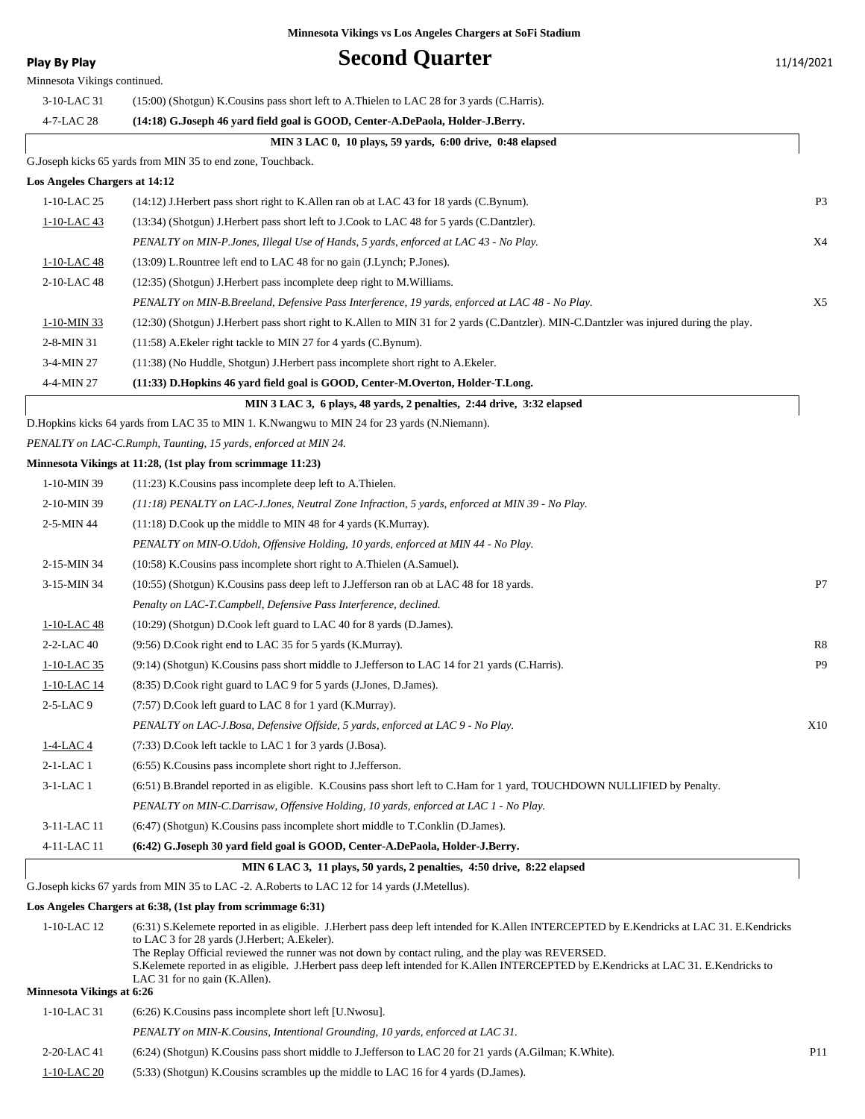Minnesota Vikings continued.

# **Play By Play Play Play Second Quarter** 11/14/2021

| 3-10-LAC 31                      | (15:00) (Shotgun) K.Cousins pass short left to A.Thielen to LAC 28 for 3 yards (C.Harris).                                                                                                                                                                                                                                                                                                                                                                                  |                |
|----------------------------------|-----------------------------------------------------------------------------------------------------------------------------------------------------------------------------------------------------------------------------------------------------------------------------------------------------------------------------------------------------------------------------------------------------------------------------------------------------------------------------|----------------|
| 4-7-LAC 28                       | (14:18) G.Joseph 46 yard field goal is GOOD, Center-A.DePaola, Holder-J.Berry.                                                                                                                                                                                                                                                                                                                                                                                              |                |
|                                  | MIN 3 LAC 0, 10 plays, 59 yards, 6:00 drive, 0:48 elapsed                                                                                                                                                                                                                                                                                                                                                                                                                   |                |
|                                  | G. Joseph kicks 65 yards from MIN 35 to end zone, Touchback.                                                                                                                                                                                                                                                                                                                                                                                                                |                |
| Los Angeles Chargers at 14:12    |                                                                                                                                                                                                                                                                                                                                                                                                                                                                             |                |
| $1-10$ -LAC 25                   | (14:12) J.Herbert pass short right to K.Allen ran ob at LAC 43 for 18 yards (C.Bynum).                                                                                                                                                                                                                                                                                                                                                                                      | P <sub>3</sub> |
| 1-10-LAC 43                      | (13:34) (Shotgun) J.Herbert pass short left to J.Cook to LAC 48 for 5 yards (C.Dantzler).                                                                                                                                                                                                                                                                                                                                                                                   |                |
|                                  | PENALTY on MIN-P.Jones, Illegal Use of Hands, 5 yards, enforced at LAC 43 - No Play.                                                                                                                                                                                                                                                                                                                                                                                        | X4             |
| 1-10-LAC 48                      | (13:09) L.Rountree left end to LAC 48 for no gain (J.Lynch; P.Jones).                                                                                                                                                                                                                                                                                                                                                                                                       |                |
| 2-10-LAC 48                      | (12:35) (Shotgun) J. Herbert pass incomplete deep right to M. Williams.                                                                                                                                                                                                                                                                                                                                                                                                     |                |
|                                  | PENALTY on MIN-B.Breeland, Defensive Pass Interference, 19 yards, enforced at LAC 48 - No Play.                                                                                                                                                                                                                                                                                                                                                                             | X <sub>5</sub> |
| 1-10-MIN 33                      | (12:30) (Shotgun) J.Herbert pass short right to K.Allen to MIN 31 for 2 yards (C.Dantzler). MIN-C.Dantzler was injured during the play.                                                                                                                                                                                                                                                                                                                                     |                |
| 2-8-MIN 31                       | (11:58) A. Ekeler right tackle to MIN 27 for 4 yards (C. Bynum).                                                                                                                                                                                                                                                                                                                                                                                                            |                |
| 3-4-MIN 27                       | (11:38) (No Huddle, Shotgun) J. Herbert pass incomplete short right to A. Ekeler.                                                                                                                                                                                                                                                                                                                                                                                           |                |
| 4-4-MIN 27                       | (11:33) D.Hopkins 46 yard field goal is GOOD, Center-M.Overton, Holder-T.Long.                                                                                                                                                                                                                                                                                                                                                                                              |                |
|                                  | MIN 3 LAC 3, 6 plays, 48 yards, 2 penalties, 2:44 drive, 3:32 elapsed                                                                                                                                                                                                                                                                                                                                                                                                       |                |
|                                  | D. Hopkins kicks 64 yards from LAC 35 to MIN 1. K. Nwangwu to MIN 24 for 23 yards (N. Niemann).                                                                                                                                                                                                                                                                                                                                                                             |                |
|                                  | PENALTY on LAC-C.Rumph, Taunting, 15 yards, enforced at MIN 24.                                                                                                                                                                                                                                                                                                                                                                                                             |                |
|                                  | Minnesota Vikings at 11:28, (1st play from scrimmage 11:23)                                                                                                                                                                                                                                                                                                                                                                                                                 |                |
| 1-10-MIN 39                      | $(11:23)$ K. Cousins pass incomplete deep left to A. Thielen.                                                                                                                                                                                                                                                                                                                                                                                                               |                |
| 2-10-MIN 39                      | $(11:18)$ PENALTY on LAC-J.Jones, Neutral Zone Infraction, 5 yards, enforced at MIN 39 - No Play.                                                                                                                                                                                                                                                                                                                                                                           |                |
| 2-5-MIN 44                       | $(11:18)$ D.Cook up the middle to MIN 48 for 4 yards (K.Murray).                                                                                                                                                                                                                                                                                                                                                                                                            |                |
|                                  | PENALTY on MIN-O.Udoh, Offensive Holding, 10 yards, enforced at MIN 44 - No Play.                                                                                                                                                                                                                                                                                                                                                                                           |                |
| 2-15-MIN 34                      | (10:58) K.Cousins pass incomplete short right to A.Thielen (A.Samuel).                                                                                                                                                                                                                                                                                                                                                                                                      |                |
| 3-15-MIN 34                      | (10:55) (Shotgun) K.Cousins pass deep left to J.Jefferson ran ob at LAC 48 for 18 yards.                                                                                                                                                                                                                                                                                                                                                                                    | P7             |
|                                  | Penalty on LAC-T.Campbell, Defensive Pass Interference, declined.                                                                                                                                                                                                                                                                                                                                                                                                           |                |
| 1-10-LAC 48                      | (10:29) (Shotgun) D.Cook left guard to LAC 40 for 8 yards (D.James).                                                                                                                                                                                                                                                                                                                                                                                                        |                |
| $2$ -2-LAC 40                    | (9:56) D.Cook right end to LAC 35 for 5 yards (K.Murray).                                                                                                                                                                                                                                                                                                                                                                                                                   | R8             |
| 1-10-LAC 35                      | (9:14) (Shotgun) K.Cousins pass short middle to J.Jefferson to LAC 14 for 21 yards (C.Harris).                                                                                                                                                                                                                                                                                                                                                                              | P <sub>9</sub> |
| 1-10-LAC 14                      | (8:35) D.Cook right guard to LAC 9 for 5 yards (J.Jones, D.James).                                                                                                                                                                                                                                                                                                                                                                                                          |                |
| $2-5-LAC9$                       | (7:57) D.Cook left guard to LAC 8 for 1 yard (K.Murray).                                                                                                                                                                                                                                                                                                                                                                                                                    |                |
|                                  | PENALTY on LAC-J.Bosa, Defensive Offside, 5 yards, enforced at LAC 9 - No Play.                                                                                                                                                                                                                                                                                                                                                                                             | X10            |
| $1-4-LAC4$                       | (7:33) D.Cook left tackle to LAC 1 for 3 yards (J.Bosa).                                                                                                                                                                                                                                                                                                                                                                                                                    |                |
| $2-1-LAC1$                       | (6:55) K. Cousins pass incomplete short right to J. Jefferson.                                                                                                                                                                                                                                                                                                                                                                                                              |                |
| $3-1-LAC1$                       | (6:51) B.Brandel reported in as eligible. K.Cousins pass short left to C.Ham for 1 yard, TOUCHDOWN NULLIFIED by Penalty.                                                                                                                                                                                                                                                                                                                                                    |                |
|                                  | PENALTY on MIN-C.Darrisaw, Offensive Holding, 10 yards, enforced at LAC 1 - No Play.                                                                                                                                                                                                                                                                                                                                                                                        |                |
| 3-11-LAC 11                      | (6:47) (Shotgun) K.Cousins pass incomplete short middle to T.Conklin (D.James).                                                                                                                                                                                                                                                                                                                                                                                             |                |
| 4-11-LAC 11                      | (6:42) G.Joseph 30 yard field goal is GOOD, Center-A.DePaola, Holder-J.Berry.                                                                                                                                                                                                                                                                                                                                                                                               |                |
|                                  | MIN 6 LAC 3, 11 plays, 50 yards, 2 penalties, 4:50 drive, 8:22 elapsed                                                                                                                                                                                                                                                                                                                                                                                                      |                |
|                                  | G.Joseph kicks 67 yards from MIN 35 to LAC -2. A.Roberts to LAC 12 for 14 yards (J.Metellus).                                                                                                                                                                                                                                                                                                                                                                               |                |
|                                  | Los Angeles Chargers at 6:38, (1st play from scrimmage 6:31)                                                                                                                                                                                                                                                                                                                                                                                                                |                |
| 1-10-LAC 12                      | (6:31) S.Kelemete reported in as eligible. J.Herbert pass deep left intended for K.Allen INTERCEPTED by E.Kendricks at LAC 31. E.Kendricks<br>to LAC 3 for 28 yards (J.Herbert; A.Ekeler).<br>The Replay Official reviewed the runner was not down by contact ruling, and the play was REVERSED.<br>S.Kelemete reported in as eligible. J.Herbert pass deep left intended for K.Allen INTERCEPTED by E.Kendricks at LAC 31. E.Kendricks to<br>LAC 31 for no gain (K.Allen). |                |
| <b>Minnesota Vikings at 6:26</b> |                                                                                                                                                                                                                                                                                                                                                                                                                                                                             |                |
| $1-10-LAC31$                     | (6:26) K. Cousins pass incomplete short left [U. Nwosu].                                                                                                                                                                                                                                                                                                                                                                                                                    |                |
|                                  | PENALTY on MIN-K.Cousins, Intentional Grounding, 10 yards, enforced at LAC 31.                                                                                                                                                                                                                                                                                                                                                                                              |                |
| 2-20-LAC 41                      | (6:24) (Shotgun) K.Cousins pass short middle to J.Jefferson to LAC 20 for 21 yards (A.Gilman; K.White).                                                                                                                                                                                                                                                                                                                                                                     | <b>P11</b>     |

1-10-LAC 20 (5:33) (Shotgun) K.Cousins scrambles up the middle to LAC 16 for 4 yards (D.James).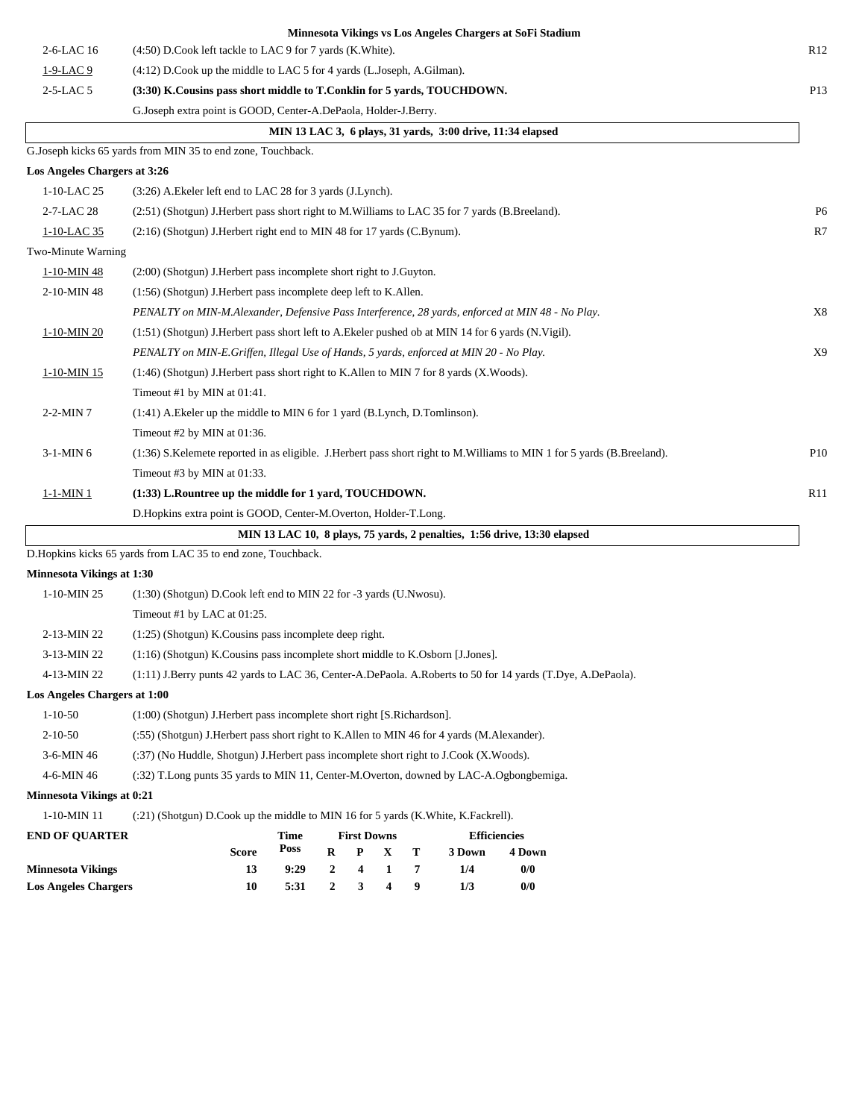|                                  |                                                                                                        |      |                  |                    |   |   |                                                            | Minnesota Vikings vs Los Angeles Chargers at SoFi Stadium                                                              |                 |
|----------------------------------|--------------------------------------------------------------------------------------------------------|------|------------------|--------------------|---|---|------------------------------------------------------------|------------------------------------------------------------------------------------------------------------------------|-----------------|
| 2-6-LAC 16                       | (4:50) D.Cook left tackle to LAC 9 for 7 yards (K.White).                                              |      |                  |                    |   |   |                                                            |                                                                                                                        | R <sub>12</sub> |
| $1-9-LAC9$                       | (4:12) D.Cook up the middle to LAC 5 for 4 yards (L.Joseph, A.Gilman).                                 |      |                  |                    |   |   |                                                            |                                                                                                                        |                 |
| $2-5-LAC5$                       | (3:30) K.Cousins pass short middle to T.Conklin for 5 yards, TOUCHDOWN.                                |      |                  |                    |   |   |                                                            |                                                                                                                        | P13             |
|                                  | G.Joseph extra point is GOOD, Center-A.DePaola, Holder-J.Berry.                                        |      |                  |                    |   |   |                                                            |                                                                                                                        |                 |
|                                  |                                                                                                        |      |                  |                    |   |   | MIN 13 LAC 3, 6 plays, 31 yards, 3:00 drive, 11:34 elapsed |                                                                                                                        |                 |
|                                  | G.Joseph kicks 65 yards from MIN 35 to end zone, Touchback.                                            |      |                  |                    |   |   |                                                            |                                                                                                                        |                 |
| Los Angeles Chargers at 3:26     |                                                                                                        |      |                  |                    |   |   |                                                            |                                                                                                                        |                 |
| 1-10-LAC 25                      | (3:26) A. Ekeler left end to LAC 28 for 3 yards (J. Lynch).                                            |      |                  |                    |   |   |                                                            |                                                                                                                        |                 |
| 2-7-LAC 28                       | (2:51) (Shotgun) J.Herbert pass short right to M.Williams to LAC 35 for 7 yards (B.Breeland).          |      |                  |                    |   |   |                                                            |                                                                                                                        | P <sub>6</sub>  |
| 1-10-LAC 35                      | (2:16) (Shotgun) J.Herbert right end to MIN 48 for 17 yards (C.Bynum).                                 |      |                  |                    |   |   |                                                            |                                                                                                                        | R7              |
| Two-Minute Warning               |                                                                                                        |      |                  |                    |   |   |                                                            |                                                                                                                        |                 |
| 1-10-MIN 48                      | (2:00) (Shotgun) J. Herbert pass incomplete short right to J. Guyton.                                  |      |                  |                    |   |   |                                                            |                                                                                                                        |                 |
| 2-10-MIN 48                      | (1:56) (Shotgun) J. Herbert pass incomplete deep left to K. Allen.                                     |      |                  |                    |   |   |                                                            |                                                                                                                        |                 |
|                                  | PENALTY on MIN-M.Alexander, Defensive Pass Interference, 28 yards, enforced at MIN 48 - No Play.       |      |                  |                    |   |   |                                                            |                                                                                                                        | X8              |
| 1-10-MIN 20                      | $(1:51)$ (Shotgun) J. Herbert pass short left to A. Ekeler pushed ob at MIN 14 for 6 yards (N. Vigil). |      |                  |                    |   |   |                                                            |                                                                                                                        |                 |
|                                  | PENALTY on MIN-E.Griffen, Illegal Use of Hands, 5 yards, enforced at MIN 20 - No Play.                 |      |                  |                    |   |   |                                                            |                                                                                                                        | X9              |
| 1-10-MIN 15                      | (1:46) (Shotgun) J.Herbert pass short right to K.Allen to MIN 7 for 8 yards (X.Woods).                 |      |                  |                    |   |   |                                                            |                                                                                                                        |                 |
|                                  | Timeout #1 by MIN at 01:41.                                                                            |      |                  |                    |   |   |                                                            |                                                                                                                        |                 |
| $2-2-MIN7$                       | $(1:41)$ A. Ekeler up the middle to MIN 6 for 1 yard (B. Lynch, D. Tomlinson).                         |      |                  |                    |   |   |                                                            |                                                                                                                        |                 |
|                                  | Timeout #2 by MIN at 01:36.                                                                            |      |                  |                    |   |   |                                                            |                                                                                                                        |                 |
| 3-1-MIN 6                        |                                                                                                        |      |                  |                    |   |   |                                                            | (1:36) S.Kelemete reported in as eligible. J.Herbert pass short right to M.Williams to MIN 1 for 5 yards (B.Breeland). | P10             |
|                                  | Timeout #3 by MIN at 01:33.                                                                            |      |                  |                    |   |   |                                                            |                                                                                                                        |                 |
| 1-1-MIN 1                        | (1:33) L.Rountree up the middle for 1 yard, TOUCHDOWN.                                                 |      |                  |                    |   |   |                                                            |                                                                                                                        | R11             |
|                                  | D. Hopkins extra point is GOOD, Center-M. Overton, Holder-T. Long.                                     |      |                  |                    |   |   |                                                            |                                                                                                                        |                 |
|                                  |                                                                                                        |      |                  |                    |   |   |                                                            | MIN 13 LAC 10, 8 plays, 75 yards, 2 penalties, 1:56 drive, 13:30 elapsed                                               |                 |
|                                  | D.Hopkins kicks 65 yards from LAC 35 to end zone, Touchback.                                           |      |                  |                    |   |   |                                                            |                                                                                                                        |                 |
| <b>Minnesota Vikings at 1:30</b> |                                                                                                        |      |                  |                    |   |   |                                                            |                                                                                                                        |                 |
| $1-10-MIN$ 25                    | $(1:30)$ (Shotgun) D.Cook left end to MIN 22 for -3 yards (U.Nwosu).                                   |      |                  |                    |   |   |                                                            |                                                                                                                        |                 |
|                                  | Timeout #1 by LAC at 01:25.                                                                            |      |                  |                    |   |   |                                                            |                                                                                                                        |                 |
| 2-13-MIN 22                      | $(1:25)$ (Shotgun) K. Cousins pass incomplete deep right.                                              |      |                  |                    |   |   |                                                            |                                                                                                                        |                 |
| 3-13-MIN 22                      | $(1:16)$ (Shotgun) K.Cousins pass incomplete short middle to K.Osborn [J.Jones].                       |      |                  |                    |   |   |                                                            |                                                                                                                        |                 |
| 4-13-MIN 22                      |                                                                                                        |      |                  |                    |   |   |                                                            | (1:11) J.Berry punts 42 yards to LAC 36, Center-A.DePaola. A.Roberts to 50 for 14 yards (T.Dye, A.DePaola).            |                 |
| Los Angeles Chargers at 1:00     |                                                                                                        |      |                  |                    |   |   |                                                            |                                                                                                                        |                 |
| $1 - 10 - 50$                    | (1:00) (Shotgun) J.Herbert pass incomplete short right [S.Richardson].                                 |      |                  |                    |   |   |                                                            |                                                                                                                        |                 |
| $2 - 10 - 50$                    | (:55) (Shotgun) J.Herbert pass short right to K.Allen to MIN 46 for 4 yards (M.Alexander).             |      |                  |                    |   |   |                                                            |                                                                                                                        |                 |
| 3-6-MIN 46                       | (:37) (No Huddle, Shotgun) J.Herbert pass incomplete short right to J.Cook (X.Woods).                  |      |                  |                    |   |   |                                                            |                                                                                                                        |                 |
| 4-6-MIN 46                       | (:32) T.Long punts 35 yards to MIN 11, Center-M.Overton, downed by LAC-A.Ogbongbemiga.                 |      |                  |                    |   |   |                                                            |                                                                                                                        |                 |
| <b>Minnesota Vikings at 0:21</b> |                                                                                                        |      |                  |                    |   |   |                                                            |                                                                                                                        |                 |
| $1-10-MIN$ $11\,$                | (:21) (Shotgun) D.Cook up the middle to MIN 16 for 5 yards (K.White, K.Fackrell).                      |      |                  |                    |   |   |                                                            |                                                                                                                        |                 |
| <b>END OF QUARTER</b>            |                                                                                                        | Time |                  | <b>First Downs</b> |   |   | <b>Efficiencies</b>                                        |                                                                                                                        |                 |
|                                  | Score                                                                                                  | Poss | R                | P                  | X | т | 3 Down                                                     | 4 Down                                                                                                                 |                 |
| <b>Minnesota Vikings</b>         | 13                                                                                                     | 9:29 | $\boldsymbol{2}$ | 4                  | 1 | 7 | 1/4                                                        | 0/0                                                                                                                    |                 |
| <b>Los Angeles Chargers</b>      | 10                                                                                                     | 5:31 | $\boldsymbol{2}$ | 3                  | 4 | 9 | 1/3                                                        | 0/0                                                                                                                    |                 |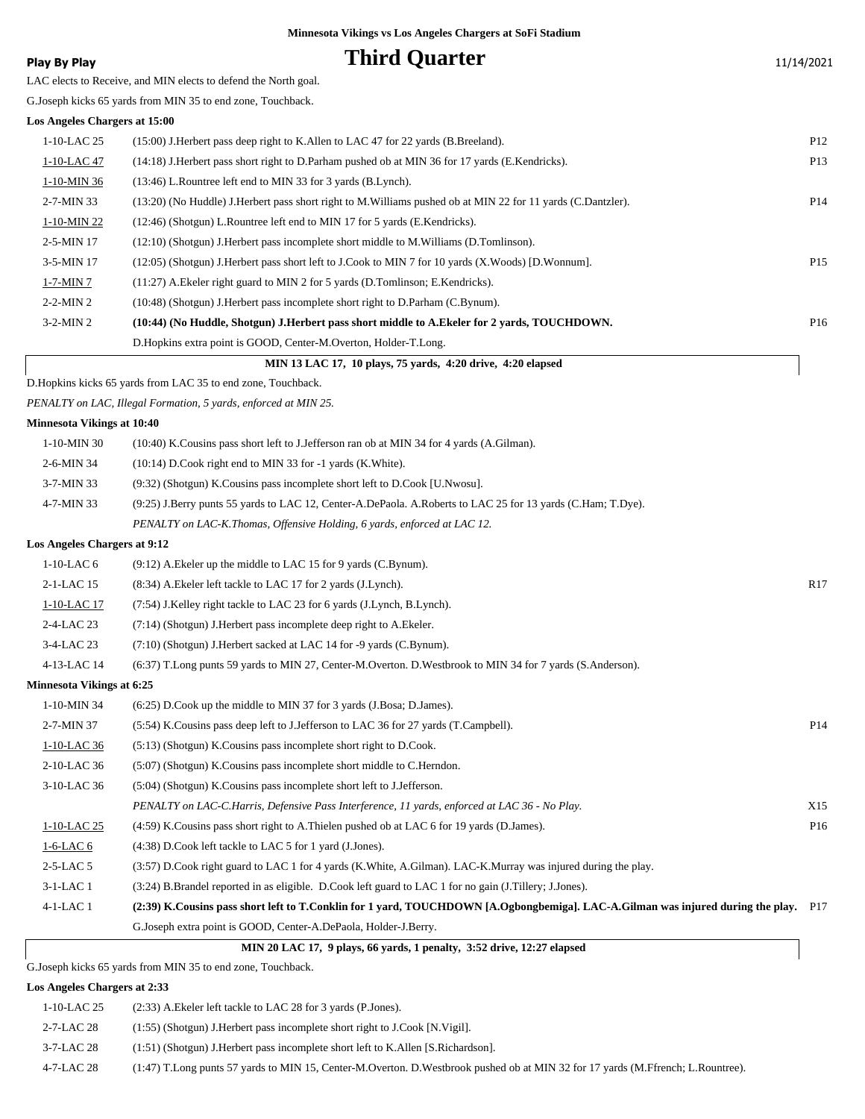### **Play By Play Play Play Play Play By Play Play By Play Play By Play Play Play Play Play Play Play Play Play Play Play Play Play Play Play Play Play Play Play Play Play**

LAC elects to Receive, and MIN elects to defend the North goal.

G.Joseph kicks 65 yards from MIN 35 to end zone, Touchback.

#### **Los Angeles Chargers at 15:00**

|                  | MIN 13 LAC 17, 10 plays, 75 yards, 4:20 drive, 4:20 elapsed                                                    |                 |
|------------------|----------------------------------------------------------------------------------------------------------------|-----------------|
|                  | D. Hopkins extra point is GOOD, Center-M. Overton, Holder-T. Long.                                             |                 |
| $3-2-MIN2$       | (10:44) (No Huddle, Shotgun) J.Herbert pass short middle to A.Ekeler for 2 vards, TOUCHDOWN.                   | P <sub>16</sub> |
| $2-2-MIN2$       | (10:48) (Shotgun) J. Herbert pass incomplete short right to D. Parham (C. Bynum).                              |                 |
| $1-7-MIN7$       | $(11:27)$ A. Ekeler right guard to MIN 2 for 5 yards (D. Tomlinson; E. Kendricks).                             |                 |
| 3-5-MIN 17       | $(12:05)$ (Shotgun) J. Herbert pass short left to J. Cook to MIN 7 for 10 yards (X. Woods) [D. Wonnum].        | P <sub>15</sub> |
| $2-5-MIN$ 17     | $(12:10)$ (Shotgun) J. Herbert pass incomplete short middle to M. Williams (D. Tomlinson).                     |                 |
| 1-10-MIN 22      | (12:46) (Shotgun) L.Rountree left end to MIN 17 for 5 yards (E.Kendricks).                                     |                 |
| $2 - 7 - MIN 33$ | (13:20) (No Huddle) J. Herbert pass short right to M. Williams pushed ob at MIN 22 for 11 yards (C. Dantzler). | P <sub>14</sub> |
| 1-10-MIN 36      | (13:46) L.Rountree left end to MIN 33 for 3 yards (B.Lynch).                                                   |                 |
| 1-10-LAC 47      | (14:18) J. Herbert pass short right to D. Parham pushed ob at MIN 36 for 17 yards (E. Kendricks).              | P <sub>13</sub> |
| $1-10-LAC$ 25    | (15:00) J. Herbert pass deep right to K. Allen to LAC 47 for 22 yards (B. Breeland).                           | P12             |
|                  |                                                                                                                |                 |

D.Hopkins kicks 65 yards from LAC 35 to end zone, Touchback.

*PENALTY on LAC, Illegal Formation, 5 yards, enforced at MIN 25.*

#### **Minnesota Vikings at 10:40**

| 1-10-MIN 30                         | (10:40) K. Cousins pass short left to J. Jefferson ran ob at MIN 34 for 4 yards (A. Gilman).                                        |                 |
|-------------------------------------|-------------------------------------------------------------------------------------------------------------------------------------|-----------------|
| 2-6-MIN 34                          | $(10:14)$ D.Cook right end to MIN 33 for -1 yards (K.White).                                                                        |                 |
| 3-7-MIN 33                          | (9:32) (Shotgun) K.Cousins pass incomplete short left to D.Cook [U.Nwosu].                                                          |                 |
| 4-7-MIN 33                          | (9:25) J.Berry punts 55 yards to LAC 12, Center-A.DePaola. A.Roberts to LAC 25 for 13 yards (C.Ham; T.Dye).                         |                 |
|                                     | PENALTY on LAC-K.Thomas, Offensive Holding, 6 yards, enforced at LAC 12.                                                            |                 |
| <b>Los Angeles Chargers at 9:12</b> |                                                                                                                                     |                 |
| $1-10-LAC$ 6                        | $(9:12)$ A. Ekeler up the middle to LAC 15 for 9 yards (C. Bynum).                                                                  |                 |
| 2-1-LAC 15                          | (8:34) A. Ekeler left tackle to LAC 17 for 2 yards (J. Lynch).                                                                      | R17             |
| 1-10-LAC 17                         | (7:54) J.Kelley right tackle to LAC 23 for 6 yards (J.Lynch, B.Lynch).                                                              |                 |
| 2-4-LAC 23                          | (7:14) (Shotgun) J. Herbert pass incomplete deep right to A. Ekeler.                                                                |                 |
| 3-4-LAC 23                          | (7:10) (Shotgun) J.Herbert sacked at LAC 14 for -9 yards (C.Bynum).                                                                 |                 |
| 4-13-LAC 14                         | (6:37) T.Long punts 59 yards to MIN 27, Center-M.Overton. D.Westbrook to MIN 34 for 7 yards (S.Anderson).                           |                 |
| Minnesota Vikings at 6:25           |                                                                                                                                     |                 |
| 1-10-MIN 34                         | (6:25) D.Cook up the middle to MIN 37 for 3 yards (J.Bosa; D.James).                                                                |                 |
| 2-7-MIN 37                          | (5.54) K. Cousins pass deep left to J. Jefferson to LAC 36 for 27 yards (T. Campbell).                                              | P <sub>14</sub> |
| 1-10-LAC 36                         | $(5:13)$ (Shotgun) K. Cousins pass incomplete short right to D. Cook.                                                               |                 |
| 2-10-LAC 36                         | (5:07) (Shotgun) K.Cousins pass incomplete short middle to C.Herndon.                                                               |                 |
| 3-10-LAC 36                         | (5:04) (Shotgun) K.Cousins pass incomplete short left to J.Jefferson.                                                               |                 |
|                                     | PENALTY on LAC-C.Harris, Defensive Pass Interference, 11 yards, enforced at LAC 36 - No Play.                                       | X15             |
| 1-10-LAC 25                         | (4:59) K.Cousins pass short right to A.Thielen pushed ob at LAC 6 for 19 yards (D.James).                                           | P <sub>16</sub> |
| $1-6$ -LAC $6$                      | (4:38) D.Cook left tackle to LAC 5 for 1 yard (J.Jones).                                                                            |                 |
| 2-5-LAC 5                           | (3:57) D.Cook right guard to LAC 1 for 4 yards (K.White, A.Gilman). LAC-K.Murray was injured during the play.                       |                 |
| $3-1-LAC1$                          | (3:24) B.Brandel reported in as eligible. D.Cook left guard to LAC 1 for no gain (J.Tillery; J.Jones).                              |                 |
| 4-1-LAC 1                           | (2:39) K.Cousins pass short left to T.Conklin for 1 yard, TOUCHDOWN [A.Ogbongbemiga]. LAC-A.Gilman was injured during the play. P17 |                 |

G.Joseph extra point is GOOD, Center-A.DePaola, Holder-J.Berry.

 **MIN 20 LAC 17, 9 plays, 66 yards, 1 penalty, 3:52 drive, 12:27 elapsed**

G.Joseph kicks 65 yards from MIN 35 to end zone, Touchback.

#### **Los Angeles Chargers at 2:33**

| 1-10-LAC 25 | $(2:33)$ A. Ekeler left tackle to LAC 28 for 3 yards (P. Jones).                                                                |
|-------------|---------------------------------------------------------------------------------------------------------------------------------|
| 2-7-LAC 28  | $(1:55)$ (Shotgun) J. Herbert pass incomplete short right to J. Cook [N. Vigil].                                                |
| 3-7-LAC 28  | $(1:51)$ (Shotgun) J. Herbert pass incomplete short left to K. Allen [S. Richardson].                                           |
| 4-7-LAC 28  | (1:47) T.Long punts 57 yards to MIN 15, Center-M.Overton. D.Westbrook pushed ob at MIN 32 for 17 yards (M.Ffrench; L.Rountree). |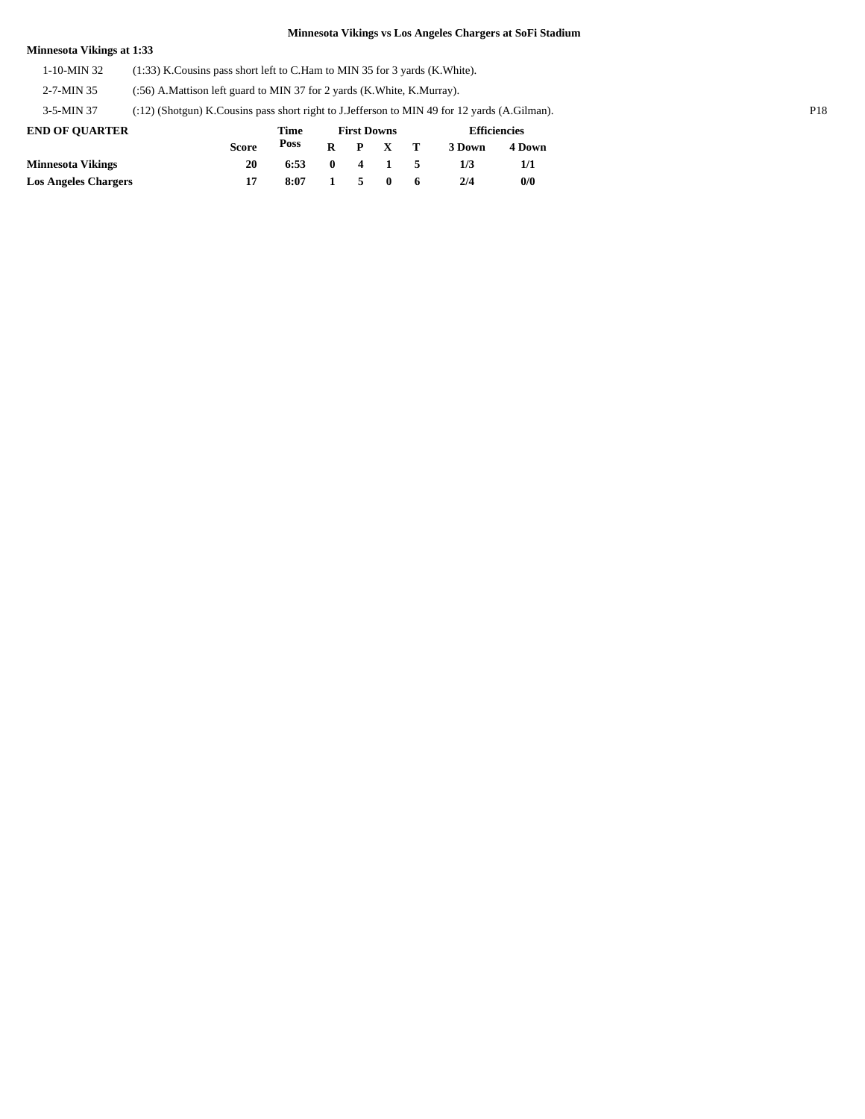### **Minnesota Vikings at 1:33**

1-10-MIN 32 (1:33) K.Cousins pass short left to C.Ham to MIN 35 for 3 yards (K.White).

2-7-MIN 35 (:56) A.Mattison left guard to MIN 37 for 2 yards (K.White, K.Murray).

3-5-MIN 37 (:12) (Shotgun) K.Cousins pass short right to J.Jefferson to MIN 49 for 12 yards (A.Gilman). P18

| <b>END OF OUARTER</b>       |              | Time |              |      | <b>First Downs</b> |                          | <b>Efficiencies</b> |        |  |
|-----------------------------|--------------|------|--------------|------|--------------------|--------------------------|---------------------|--------|--|
|                             | <b>Score</b> | Poss | $\mathbf{R}$ |      | $P \times T$       |                          | 3 Down              | 4 Down |  |
| <b>Minnesota Vikings</b>    | 20           | 6:53 | $\mathbf{r}$ |      | 4 1                | $\overline{\phantom{a}}$ | 173                 |        |  |
| <b>Los Angeles Chargers</b> |              | 8:07 | $\mathbf{1}$ | $-5$ | $\mathbf{0}$       | 6                        | 2/4                 | 0/0    |  |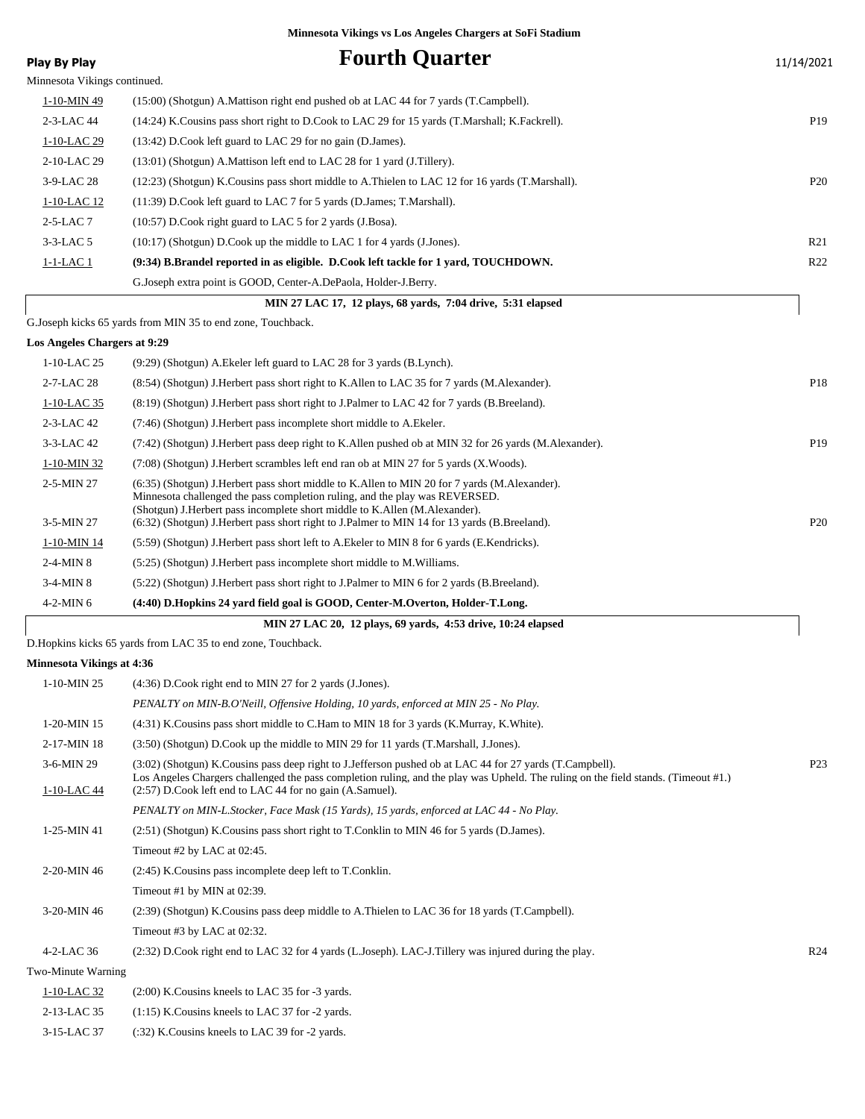|                                  | Minnesota Vikings vs Los Angeles Chargers at SoFi Stadium                                                                                                                                                                                      |                 |
|----------------------------------|------------------------------------------------------------------------------------------------------------------------------------------------------------------------------------------------------------------------------------------------|-----------------|
| <b>Play By Play</b>              | <b>Fourth Quarter</b>                                                                                                                                                                                                                          | 11/14/2021      |
| Minnesota Vikings continued.     |                                                                                                                                                                                                                                                |                 |
| 1-10-MIN 49                      | (15:00) (Shotgun) A.Mattison right end pushed ob at LAC 44 for 7 yards (T.Campbell).                                                                                                                                                           |                 |
| 2-3-LAC 44                       | (14:24) K.Cousins pass short right to D.Cook to LAC 29 for 15 yards (T.Marshall; K.Fackrell).                                                                                                                                                  | P <sub>19</sub> |
| 1-10-LAC 29                      | (13:42) D.Cook left guard to LAC 29 for no gain (D.James).                                                                                                                                                                                     |                 |
| 2-10-LAC 29                      | $(13:01)$ (Shotgun) A. Mattison left end to LAC 28 for 1 yard (J. Tillery).                                                                                                                                                                    |                 |
| 3-9-LAC 28                       | (12:23) (Shotgun) K.Cousins pass short middle to A.Thielen to LAC 12 for 16 yards (T.Marshall).                                                                                                                                                | P <sub>20</sub> |
| 1-10-LAC 12                      | (11:39) D.Cook left guard to LAC 7 for 5 yards (D.James; T.Marshall).                                                                                                                                                                          |                 |
| $2-5-LAC7$                       | (10:57) D.Cook right guard to LAC 5 for 2 yards (J.Bosa).                                                                                                                                                                                      |                 |
| $3-3$ -LAC 5                     | (10:17) (Shotgun) D.Cook up the middle to LAC 1 for 4 yards (J.Jones).                                                                                                                                                                         | R <sub>21</sub> |
| <u>1-1-LAC 1</u>                 | (9:34) B.Brandel reported in as eligible. D.Cook left tackle for 1 yard, TOUCHDOWN.                                                                                                                                                            | R22             |
|                                  | G. Joseph extra point is GOOD, Center-A. DePaola, Holder-J. Berry.                                                                                                                                                                             |                 |
|                                  | MIN 27 LAC 17, 12 plays, 68 yards, 7:04 drive, 5:31 elapsed                                                                                                                                                                                    |                 |
|                                  | G.Joseph kicks 65 yards from MIN 35 to end zone, Touchback.                                                                                                                                                                                    |                 |
| Los Angeles Chargers at 9:29     |                                                                                                                                                                                                                                                |                 |
| 1-10-LAC 25                      | (9:29) (Shotgun) A. Ekeler left guard to LAC 28 for 3 yards (B. Lynch).                                                                                                                                                                        |                 |
| 2-7-LAC 28                       | (8.54) (Shotgun) J.Herbert pass short right to K.Allen to LAC 35 for 7 yards (M.Alexander).                                                                                                                                                    | P18             |
| 1-10-LAC 35                      | (8:19) (Shotgun) J.Herbert pass short right to J.Palmer to LAC 42 for 7 yards (B.Breeland).                                                                                                                                                    |                 |
| 2-3-LAC 42                       | (7:46) (Shotgun) J.Herbert pass incomplete short middle to A.Ekeler.                                                                                                                                                                           |                 |
| 3-3-LAC 42                       | (7:42) (Shotgun) J.Herbert pass deep right to K.Allen pushed ob at MIN 32 for 26 yards (M.Alexander).                                                                                                                                          | P <sub>19</sub> |
| 1-10-MIN 32                      | (7:08) (Shotgun) J.Herbert scrambles left end ran ob at MIN 27 for 5 yards (X.Woods).                                                                                                                                                          |                 |
| 2-5-MIN 27                       | (6:35) (Shotgun) J.Herbert pass short middle to K.Allen to MIN 20 for 7 yards (M.Alexander).<br>Minnesota challenged the pass completion ruling, and the play was REVERSED.                                                                    |                 |
| 3-5-MIN 27                       | (Shotgun) J.Herbert pass incomplete short middle to K.Allen (M.Alexander).<br>(6:32) (Shotgun) J.Herbert pass short right to J.Palmer to MIN 14 for 13 yards (B.Breeland).                                                                     | P <sub>20</sub> |
| $1-10-MIN$ 14                    | (5:59) (Shotgun) J. Herbert pass short left to A. Ekeler to MIN 8 for 6 yards (E. Kendricks).                                                                                                                                                  |                 |
| $2-4$ -MIN $8$                   | (5:25) (Shotgun) J. Herbert pass incomplete short middle to M. Williams.                                                                                                                                                                       |                 |
| 3-4-MIN 8                        | (5:22) (Shotgun) J.Herbert pass short right to J.Palmer to MIN 6 for 2 yards (B.Breeland).                                                                                                                                                     |                 |
| $4-2-MIN6$                       | (4:40) D.Hopkins 24 yard field goal is GOOD, Center-M.Overton, Holder-T.Long.                                                                                                                                                                  |                 |
|                                  | MIN 27 LAC 20, 12 plays, 69 vards, 4:53 drive, 10:24 elapsed                                                                                                                                                                                   |                 |
|                                  | D.Hopkins kicks 65 yards from LAC 35 to end zone, Touchback.                                                                                                                                                                                   |                 |
| <b>Minnesota Vikings at 4:36</b> |                                                                                                                                                                                                                                                |                 |
| $1-10-MIN$ 25                    | (4:36) D.Cook right end to MIN 27 for 2 yards (J.Jones).                                                                                                                                                                                       |                 |
|                                  | PENALTY on MIN-B.O'Neill, Offensive Holding, 10 yards, enforced at MIN 25 - No Play.                                                                                                                                                           |                 |
| 1-20-MIN 15                      | (4:31) K.Cousins pass short middle to C.Ham to MIN 18 for 3 yards (K.Murray, K.White).                                                                                                                                                         |                 |
| 2-17-MIN 18                      | (3:50) (Shotgun) D.Cook up the middle to MIN 29 for 11 yards (T.Marshall, J.Jones).                                                                                                                                                            |                 |
| 3-6-MIN 29                       | (3:02) (Shotgun) K.Cousins pass deep right to J.Jefferson pushed ob at LAC 44 for 27 yards (T.Campbell).<br>Los Angeles Chargers challenged the pass completion ruling, and the play was Upheld. The ruling on the field stands. (Timeout #1.) | P <sub>23</sub> |
| 1-10-LAC 44                      | $(2:57)$ D.Cook left end to LAC 44 for no gain $(A.Samuel)$ .                                                                                                                                                                                  |                 |
|                                  | PENALTY on MIN-L.Stocker, Face Mask (15 Yards), 15 yards, enforced at LAC 44 - No Play.                                                                                                                                                        |                 |
| 1-25-MIN 41                      | (2.51) (Shotgun) K.Cousins pass short right to T.Conklin to MIN 46 for 5 yards (D.James).                                                                                                                                                      |                 |
|                                  | Timeout #2 by LAC at $02:45$ .                                                                                                                                                                                                                 |                 |
| 2-20-MIN 46                      | (2:45) K. Cousins pass incomplete deep left to T. Conklin.                                                                                                                                                                                     |                 |
|                                  | Timeout #1 by MIN at $02:39$ .                                                                                                                                                                                                                 |                 |
| 3-20-MIN 46                      | (2:39) (Shotgun) K.Cousins pass deep middle to A.Thielen to LAC 36 for 18 yards (T.Campbell).                                                                                                                                                  |                 |
|                                  | Timeout #3 by LAC at $02:32$ .                                                                                                                                                                                                                 |                 |
| 4-2-LAC 36                       | (2:32) D.Cook right end to LAC 32 for 4 yards (L.Joseph). LAC-J.Tillery was injured during the play.                                                                                                                                           | R24             |
| Two-Minute Warning               |                                                                                                                                                                                                                                                |                 |

| 1-10-LAC 32 | $(2:00)$ K. Cousins kneels to LAC 35 for $-3$ yards. |
|-------------|------------------------------------------------------|
| 2-13-LAC 35 | $(1:15)$ K. Cousins kneels to LAC 37 for $-2$ yards. |
| 3-15-LAC 37 | $(.32)$ K. Cousins kneels to LAC 39 for $-2$ yards.  |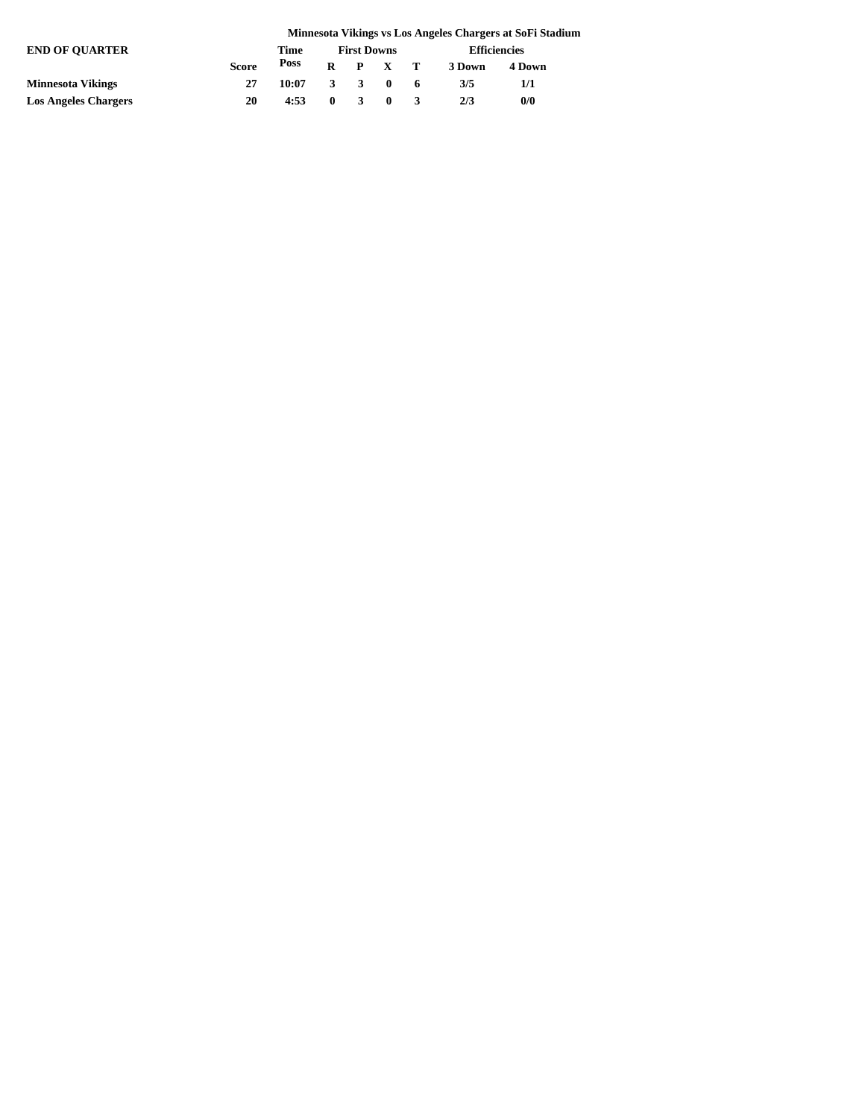|                             | Minnesota Vikings vs Los Angeles Chargers at SoFi Stadium |       |   |                    |                 |  |                     |        |  |  |
|-----------------------------|-----------------------------------------------------------|-------|---|--------------------|-----------------|--|---------------------|--------|--|--|
| <b>END OF OUARTER</b>       |                                                           | Time  |   | <b>First Downs</b> |                 |  | <b>Efficiencies</b> |        |  |  |
|                             | <b>Score</b>                                              | Poss  |   |                    | $R$ $P$ $X$ $T$ |  | 3 Down              | 4 Down |  |  |
| <b>Minnesota Vikings</b>    | 27                                                        | 10:07 |   | 3 3 0              |                 |  | 3/5                 | 1/1    |  |  |
| <b>Los Angeles Chargers</b> | 20                                                        | 4:53  | 0 |                    | $\mathbf{0}$    |  | 2/3                 | 0/0    |  |  |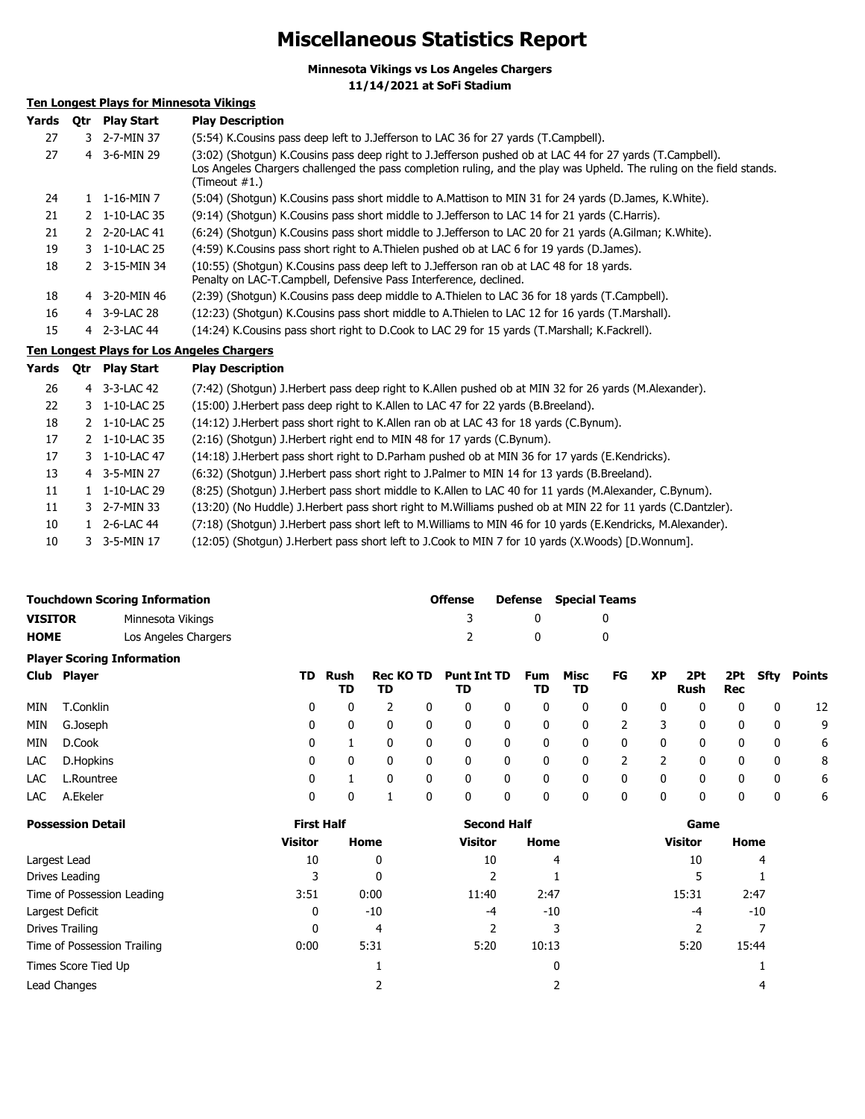# **Miscellaneous Statistics Report**

**Minnesota Vikings vs Los Angeles Chargers**

**11/14/2021 at SoFi Stadium**

### **Ten Longest Plays for Minnesota Vikings**

| Yards | Otr | <b>Play Start</b>        | <b>Play Description</b>                                                                                                                                                                                                                           |
|-------|-----|--------------------------|---------------------------------------------------------------------------------------------------------------------------------------------------------------------------------------------------------------------------------------------------|
| 27    |     | 3 2-7-MIN 37             | (5:54) K. Cousins pass deep left to J. Jefferson to LAC 36 for 27 yards (T. Campbell).                                                                                                                                                            |
| 27    | 4   | 3-6-MIN 29               | (3:02) (Shotqun) K.Cousins pass deep right to J.Jefferson pushed ob at LAC 44 for 27 yards (T.Campbell).<br>Los Angeles Chargers challenged the pass completion ruling, and the play was Upheld. The ruling on the field stands.<br>(Timeout #1.) |
| 24    |     | $1 \quad 1 - 16 - MIN$ 7 | (5:04) (Shotgun) K.Cousins pass short middle to A.Mattison to MIN 31 for 24 yards (D.James, K.White).                                                                                                                                             |
| 21    |     | 2 1-10-LAC 35            | (9:14) (Shotqun) K.Cousins pass short middle to J.Jefferson to LAC 14 for 21 yards (C.Harris).                                                                                                                                                    |
| 21    |     | 2 2-20-LAC 41            | (6:24) (Shotgun) K.Cousins pass short middle to J.Jefferson to LAC 20 for 21 yards (A.Gilman; K.White).                                                                                                                                           |
| 19    |     | 3 1-10-LAC 25            | (4:59) K.Cousins pass short right to A.Thielen pushed ob at LAC 6 for 19 yards (D.James).                                                                                                                                                         |
| 18    |     | 2 3-15-MIN 34            | (10:55) (Shotgun) K.Cousins pass deep left to J.Jefferson ran ob at LAC 48 for 18 yards.<br>Penalty on LAC-T.Campbell, Defensive Pass Interference, declined.                                                                                     |
| 18    | 4   | 3-20-MIN 46              | (2:39) (Shotgun) K.Cousins pass deep middle to A.Thielen to LAC 36 for 18 yards (T.Campbell).                                                                                                                                                     |
| 16    |     | 4 3-9-LAC 28             | (12:23) (Shotgun) K.Cousins pass short middle to A.Thielen to LAC 12 for 16 yards (T.Marshall).                                                                                                                                                   |
| 15    |     | 4 2-3-LAC 44             | (14:24) K.Cousins pass short right to D.Cook to LAC 29 for 15 yards (T.Marshall; K.Fackrell).                                                                                                                                                     |
|       |     |                          | <b>Ten Longest Plays for Los Angeles Chargers</b>                                                                                                                                                                                                 |

| Yards | <b>Otr</b> | <b>Play Start</b>        | <b>Play Description</b>                                                                                     |
|-------|------------|--------------------------|-------------------------------------------------------------------------------------------------------------|
| 26    |            | 4 3-3-LAC 42             | (7:42) (Shotgun) J.Herbert pass deep right to K.Allen pushed ob at MIN 32 for 26 yards (M.Alexander).       |
| 22    |            | 3 1-10-LAC 25            | (15:00) J. Herbert pass deep right to K. Allen to LAC 47 for 22 yards (B. Breeland).                        |
| 18    |            | 2 1-10-LAC 25            | (14:12) J.Herbert pass short right to K.Allen ran ob at LAC 43 for 18 yards (C.Bynum).                      |
| 17    |            | 2 1-10-LAC 35            | (2:16) (Shotgun) J. Herbert right end to MIN 48 for 17 yards (C. Bynum).                                    |
| 17    |            | 3 1-10-LAC 47            | (14:18) J. Herbert pass short right to D. Parham pushed ob at MIN 36 for 17 yards (E. Kendricks).           |
| 13    |            | 4 3-5-MIN 27             | (6:32) (Shotgun) J.Herbert pass short right to J.Palmer to MIN 14 for 13 yards (B.Breeland).                |
| 11    |            | $1 \quad 1 - 10 - LAC29$ | (8:25) (Shotgun) J.Herbert pass short middle to K.Allen to LAC 40 for 11 yards (M.Alexander, C.Bynum).      |
| 11    |            | 3 2-7-MIN 33             | (13:20) (No Huddle) J.Herbert pass short right to M.Williams pushed ob at MIN 22 for 11 yards (C.Dantzler). |
| 10    |            | $1 \quad 2 - 6 - LAC$ 44 | (7:18) (Shotqun) J.Herbert pass short left to M.Williams to MIN 46 for 10 yards (E.Kendricks, M.Alexander). |
| 10    |            | 3 3-5-MIN 17             | (12:05) (Shotgun) J.Herbert pass short left to J.Cook to MIN 7 for 10 yards (X.Woods) [D.Wonnum].           |

|                |               | <b>Touchdown Scoring Information</b> |     |            |                 |              | <b>Offense</b>           |   | Defense          | <b>Special Teams</b> |    |               |              |             |              |               |
|----------------|---------------|--------------------------------------|-----|------------|-----------------|--------------|--------------------------|---|------------------|----------------------|----|---------------|--------------|-------------|--------------|---------------|
| <b>VISITOR</b> |               | Minnesota Vikings                    |     |            |                 |              |                          |   | 0                |                      | 0  |               |              |             |              |               |
| <b>HOME</b>    |               | Los Angeles Chargers                 |     |            |                 |              |                          |   | 0                |                      | 0  |               |              |             |              |               |
|                |               | <b>Player Scoring Information</b>    |     |            |                 |              |                          |   |                  |                      |    |               |              |             |              |               |
| Club           | <b>Player</b> |                                      | TD. | Rush<br>TD | Rec KO TD<br>TD |              | <b>Punt Int TD</b><br>TD |   | <b>Fum</b><br>TD | Misc<br>TD           | FG | <b>XP</b>     | 2Pt<br>Rush  | 2Pt.<br>Rec | Sfty         | <b>Points</b> |
| MIN            | T.Conklin     |                                      | 0   | 0          | 2               | 0            | 0                        | 0 | 0                | 0                    | 0  | 0             | 0            | 0           | 0            | 12            |
| MIN            | G.Joseph      |                                      | 0   | 0          | $\mathbf{0}$    | 0            | 0                        | 0 | $\mathbf{0}$     | 0                    | 2  | 3             | $\mathbf{0}$ | 0           | $\mathbf{0}$ | 9             |
| MIN            | D.Cook        |                                      | 0   |            | $\mathbf{0}$    | $\mathbf{0}$ | 0                        | 0 | 0                | 0                    | 0  | $\mathbf{0}$  | $\mathbf{0}$ | 0           | 0            | 6             |
| LAC            | D.Hopkins     |                                      | 0   | 0          | $\mathbf{0}$    | 0            | 0                        | 0 | 0                | 0                    | 2  | $\mathcal{P}$ | $\mathbf{0}$ | 0           | 0            | 8             |
| LAC            | L.Rountree    |                                      | 0   |            | $\Omega$        | 0            | 0                        | 0 | 0                | 0                    | 0  | 0             | $\mathbf{0}$ | 0           | 0            | 6             |
| LAC            | A.Ekeler      |                                      | 0   | 0          |                 | 0            | 0                        | 0 | 0                | 0                    | 0  | 0             | $\mathbf{0}$ | 0           | 0            | 6             |

| <b>Possession Detail</b>    | <b>First Half</b> |       | <b>Second Half</b> |       | Game           |       |  |
|-----------------------------|-------------------|-------|--------------------|-------|----------------|-------|--|
|                             | <b>Visitor</b>    | Home  | <b>Visitor</b>     | Home  | <b>Visitor</b> | Home  |  |
| Largest Lead                | 10                | 0     | 10                 | 4     | 10             | 4     |  |
| Drives Leading              |                   | 0     |                    |       |                |       |  |
| Time of Possession Leading  | 3:51              | 0:00  | 11:40              | 2:47  | 15:31          | 2:47  |  |
| Largest Deficit             | 0                 | $-10$ | $-4$               | $-10$ | -4             | $-10$ |  |
| Drives Trailing             | 0                 | 4     |                    |       |                |       |  |
| Time of Possession Trailing | 0:00              | 5:31  | 5:20               | 10:13 | 5:20           | 15:44 |  |
| Times Score Tied Up         |                   |       |                    | 0     |                |       |  |
| Lead Changes                |                   |       |                    |       |                |       |  |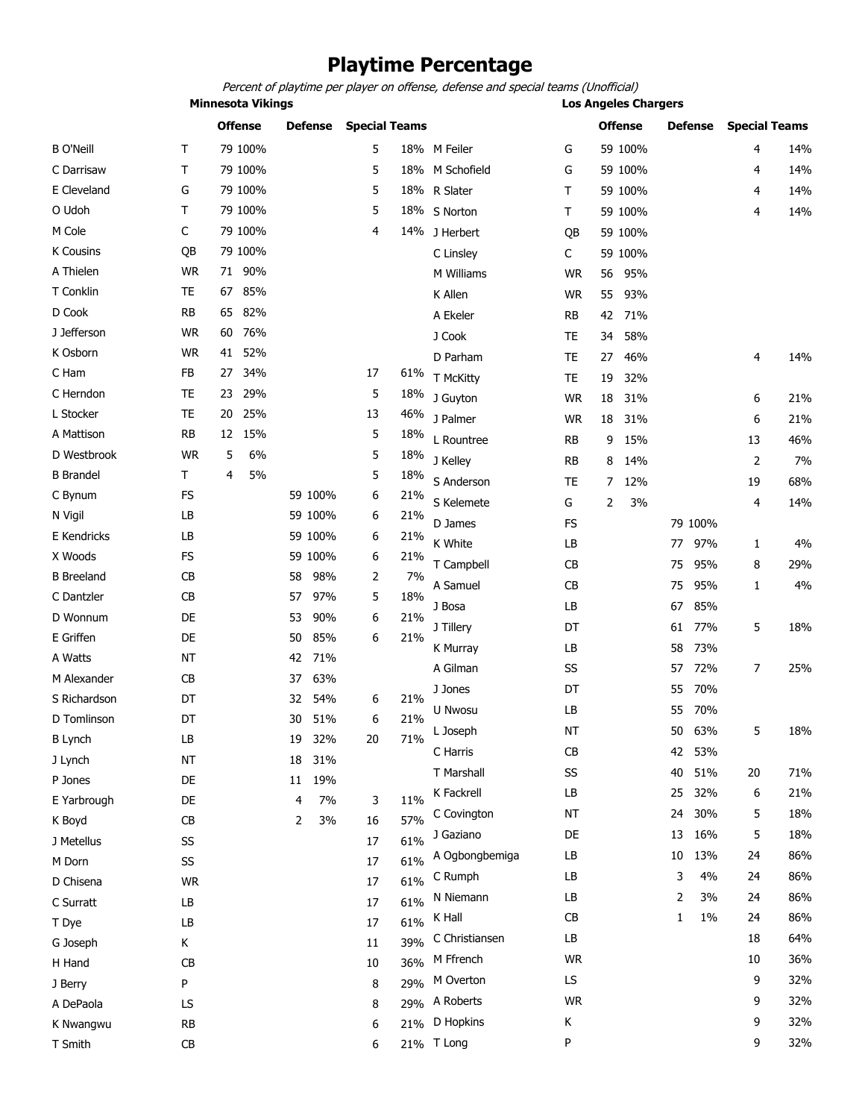# **Playtime Percentage**

Percent of playtime per player on offense, defense and special teams (Unofficial)

**Minnesota Vikings Los Angeles Chargers**

|                   |           |    | <b>Offense</b> |    | Defense |    | <b>Special Teams</b> |                 |           |    | <b>Offense</b> |    | Defense |    | <b>Special Teams</b> |
|-------------------|-----------|----|----------------|----|---------|----|----------------------|-----------------|-----------|----|----------------|----|---------|----|----------------------|
| <b>B O'Neill</b>  | т         |    | 79 100%        |    |         | 5  |                      | 18% M Feiler    | G         |    | 59 100%        |    |         | 4  | 14%                  |
| C Darrisaw        | Τ         |    | 79 100%        |    |         | 5  |                      | 18% M Schofield | G         |    | 59 100%        |    |         | 4  | 14%                  |
| E Cleveland       | G         |    | 79 100%        |    |         | 5  |                      | 18% R Slater    | т         |    | 59 100%        |    |         | 4  | 14%                  |
| O Udoh            | Τ         |    | 79 100%        |    |         | 5  |                      | 18% S Norton    | Τ         |    | 59 100%        |    |         | 4  | 14%                  |
| M Cole            | C         |    | 79 100%        |    |         | 4  |                      | 14% J Herbert   | QB        |    | 59 100%        |    |         |    |                      |
| K Cousins         | QB        |    | 79 100%        |    |         |    |                      | C Linsley       | C         |    | 59 100%        |    |         |    |                      |
| A Thielen         | <b>WR</b> | 71 | 90%            |    |         |    |                      | M Williams      | <b>WR</b> | 56 | 95%            |    |         |    |                      |
| T Conklin         | TE        | 67 | 85%            |    |         |    |                      | K Allen         | <b>WR</b> | 55 | 93%            |    |         |    |                      |
| D Cook            | <b>RB</b> | 65 | 82%            |    |         |    |                      | A Ekeler        | <b>RB</b> | 42 | 71%            |    |         |    |                      |
| J Jefferson       | <b>WR</b> | 60 | 76%            |    |         |    |                      | J Cook          | TE        | 34 | 58%            |    |         |    |                      |
| K Osborn          | <b>WR</b> | 41 | 52%            |    |         |    |                      | D Parham        | <b>TE</b> | 27 | 46%            |    |         | 4  | 14%                  |
| C Ham             | FB        | 27 | 34%            |    |         | 17 | 61%                  | T McKitty       | <b>TE</b> | 19 | 32%            |    |         |    |                      |
| C Herndon         | <b>TE</b> | 23 | 29%            |    |         | 5  | 18%                  | J Guyton        | <b>WR</b> | 18 | 31%            |    |         | 6  | 21%                  |
| L Stocker         | TE        | 20 | 25%            |    |         | 13 | 46%                  | J Palmer        | <b>WR</b> | 18 | 31%            |    |         | 6  | 21%                  |
| A Mattison        | <b>RB</b> | 12 | 15%            |    |         | 5  | 18%                  | L Rountree      | <b>RB</b> | 9  | 15%            |    |         | 13 | 46%                  |
| D Westbrook       | <b>WR</b> | 5  | 6%             |    |         | 5  | 18%                  | J Kelley        | <b>RB</b> | 8  | 14%            |    |         | 2  | 7%                   |
| <b>B</b> Brandel  | T         | 4  | 5%             |    |         | 5  | 18%                  | S Anderson      | TE        | 7  | 12%            |    |         | 19 | 68%                  |
| C Bynum           | <b>FS</b> |    |                |    | 59 100% | 6  | 21%                  | S Kelemete      | G         | 2  |                |    |         | 4  |                      |
| N Vigil           | LB        |    |                |    | 59 100% | 6  | 21%                  |                 |           |    | 3%             |    |         |    | 14%                  |
| E Kendricks       | LB        |    |                |    | 59 100% | 6  | 21%                  | D James         | <b>FS</b> |    |                |    | 79 100% |    |                      |
| X Woods           | <b>FS</b> |    |                |    | 59 100% | 6  | 21%                  | K White         | LB        |    |                | 77 | 97%     | 1  | 4%                   |
| <b>B</b> Breeland | CB        |    |                | 58 | 98%     | 2  | 7%                   | T Campbell      | CB        |    |                | 75 | 95%     | 8  | 29%                  |
| C Dantzler        | CB        |    |                | 57 | 97%     | 5  | 18%                  | A Samuel        | CB        |    |                | 75 | 95%     | 1  | 4%                   |
| D Wonnum          | DE        |    |                | 53 | 90%     | 6  | 21%                  | J Bosa          | LB        |    |                | 67 | 85%     |    |                      |
| E Griffen         | DE        |    |                | 50 | 85%     | 6  | 21%                  | J Tillery       | DT        |    |                | 61 | 77%     | 5  | 18%                  |
| A Watts           | <b>NT</b> |    |                | 42 | 71%     |    |                      | K Murray        | LB        |    |                | 58 | 73%     |    |                      |
| M Alexander       | CB        |    |                | 37 | 63%     |    |                      | A Gilman        | SS        |    |                | 57 | 72%     | 7  | 25%                  |
| S Richardson      | DT        |    |                | 32 | 54%     | 6  | 21%                  | J Jones         | DT        |    |                | 55 | 70%     |    |                      |
| D Tomlinson       | DT        |    |                | 30 | 51%     | 6  | 21%                  | U Nwosu         | LB        |    |                | 55 | 70%     |    |                      |
| <b>B</b> Lynch    | LB        |    |                | 19 | 32%     | 20 | 71%                  | L Joseph        | ΝT        |    |                | 50 | 63%     | 5  | 18%                  |
| J Lynch           | <b>NT</b> |    |                | 18 | 31%     |    |                      | C Harris        | СB        |    |                | 42 | 53%     |    |                      |
| P Jones           | DE        |    |                | 11 | 19%     |    |                      | T Marshall      | SS        |    |                | 40 | 51%     | 20 | 71%                  |
| E Yarbrough       | DE        |    |                | 4  | 7%      | 3  | 11%                  | K Fackrell      | LB        |    |                | 25 | 32%     | 6  | 21%                  |
| K Boyd            | CB        |    |                | 2  | 3%      | 16 | 57%                  | C Covington     | <b>NT</b> |    |                | 24 | 30%     | 5  | 18%                  |
| J Metellus        | SS        |    |                |    |         | 17 | 61%                  | J Gaziano       | DE        |    |                | 13 | 16%     | 5  | 18%                  |
| M Dorn            | SS        |    |                |    |         | 17 | 61%                  | A Ogbongbemiga  | LB        |    |                | 10 | 13%     | 24 | 86%                  |
| D Chisena         | <b>WR</b> |    |                |    |         | 17 | 61%                  | C Rumph         | LB        |    |                | 3  | 4%      | 24 | 86%                  |
| C Surratt         | LB        |    |                |    |         | 17 | 61%                  | N Niemann       | LB        |    |                | 2  | 3%      | 24 | 86%                  |
| T Dye             | LB        |    |                |    |         | 17 | 61%                  | K Hall          | <b>CB</b> |    |                | 1  | $1\%$   | 24 | 86%                  |
| G Joseph          | Κ         |    |                |    |         | 11 | 39%                  | C Christiansen  | LB        |    |                |    |         | 18 | 64%                  |
| H Hand            | CB        |    |                |    |         | 10 | 36%                  | M Ffrench       | <b>WR</b> |    |                |    |         | 10 | 36%                  |
| J Berry           | P         |    |                |    |         | 8  | 29%                  | M Overton       | LS        |    |                |    |         | 9  | 32%                  |
| A DePaola         | LS        |    |                |    |         | 8  | 29%                  | A Roberts       | <b>WR</b> |    |                |    |         | 9  | 32%                  |
| K Nwangwu         | <b>RB</b> |    |                |    |         | 6  | 21%                  | D Hopkins       | К         |    |                |    |         | 9  | 32%                  |
| T Smith           | CB        |    |                |    |         | 6  |                      | 21% T Long      | P         |    |                |    |         | 9  | 32%                  |
|                   |           |    |                |    |         |    |                      |                 |           |    |                |    |         |    |                      |